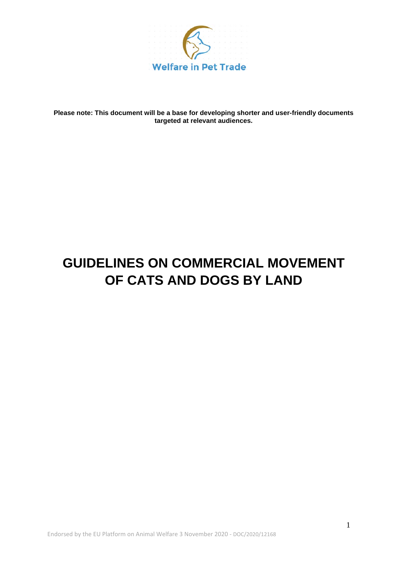

**Please note: This document will be a base for developing shorter and user-friendly documents targeted at relevant audiences.** 

# **GUIDELINES ON COMMERCIAL MOVEMENT OF CATS AND DOGS BY LAND**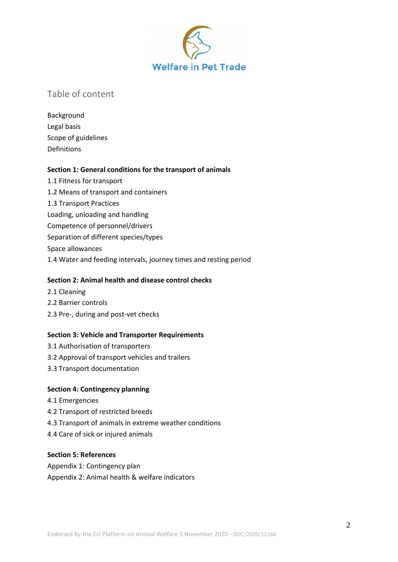

### Table of content

Background Legal basis Scope of guidelines Definitions

#### **Section 1: General conditions for the transport of animals**

1.1 Fitness for transport 1.2 Means of transport and containers 1.3 Transport Practices Loading, unloading and handling Competence of personnel/drivers Separation of different species/types Space allowances 1.4 Water and feeding intervals, journey times and resting period

### **Section 2: Animal health and disease control checks**

- 2.1 Cleaning
- 2.2 Barrier controls
- 2.3 Pre-, during and post-vet checks

#### **Section 3: Vehicle and Transporter Requirements**

- 3.1 Authorisation of transporters
- 3.2 Approval of transport vehicles and trailers
- 3.3 Transport documentation

#### **Section 4: Contingency planning**

- 4.1 Emergencies
- 4.2 Transport of restricted breeds
- 4.3 Transport of animals in extreme weather conditions
- 4.4 Care of sick or injured animals

#### **Section 5: References**

Appendix 1: Contingency plan Appendix 2: Animal health & welfare indicators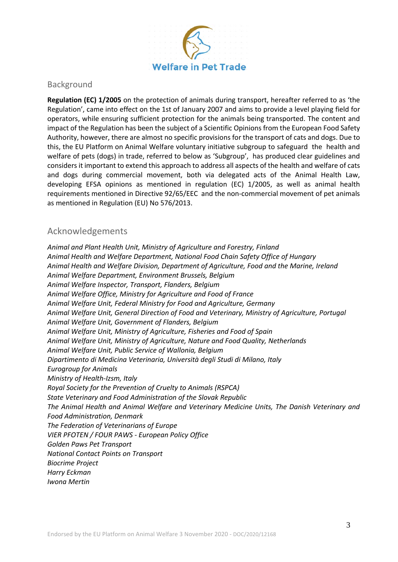

### Background

**Regulation (EC) 1/2005** on the protection of animals during transport, hereafter referred to as 'the Regulation', came into effect on the 1st of January 2007 and aims to provide a level playing field for operators, while ensuring sufficient protection for the animals being transported. The content and impact of the Regulation has been the subject of a Scientific Opinions from the European Food Safety Authority, however, there are almost no specific provisions for the transport of cats and dogs. Due to this, the EU Platform on Animal Welfare voluntary initiative subgroup to safeguard the health and welfare of pets (dogs) in trade, referred to below as 'Subgroup', has produced clear guidelines and considers it important to extend this approach to address all aspects of the health and welfare of cats and dogs during commercial movement, both via delegated acts of the Animal Health Law, developing EFSA opinions as mentioned in regulation (EC) 1/2005, as well as animal health requirements mentioned in Directive 92/65/EEC and the non-commercial movement of pet animals as mentioned in Regulation (EU) No 576/2013.

### Acknowledgements

*Animal and Plant Health Unit, Ministry of Agriculture and Forestry, Finland Animal Health and Welfare Department, National Food Chain Safety Office of Hungary Animal Health and Welfare Division, Department of Agriculture, Food and the Marine, Ireland Animal Welfare Department, Environment Brussels, Belgium Animal Welfare Inspector, Transport, Flanders, Belgium Animal Welfare Office, Ministry for Agriculture and Food of France Animal Welfare Unit, Federal Ministry for Food and Agriculture, Germany Animal Welfare Unit, General Direction of Food and Veterinary, Ministry of Agriculture, Portugal Animal Welfare Unit, Government of Flanders, Belgium Animal Welfare Unit, Ministry of Agriculture, Fisheries and Food of Spain Animal Welfare Unit, Ministry of Agriculture, Nature and Food Quality, Netherlands Animal Welfare Unit, Public Service of Wallonia, Belgium Dipartimento di Medicina Veterinaria, Università degli Studi di Milano, Italy Eurogroup for Animals Ministry of Health-Izsm, Italy Royal Society for the Prevention of Cruelty to Animals (RSPCA) State Veterinary and Food Administration of the Slovak Republic The Animal Health and Animal Welfare and Veterinary Medicine Units, The Danish Veterinary and Food Administration, Denmark The Federation of Veterinarians of Europe VIER PFOTEN / FOUR PAWS - European Policy Office Golden Paws Pet Transport National Contact Points on Transport Biocrime Project Harry Eckman Iwona Mertin*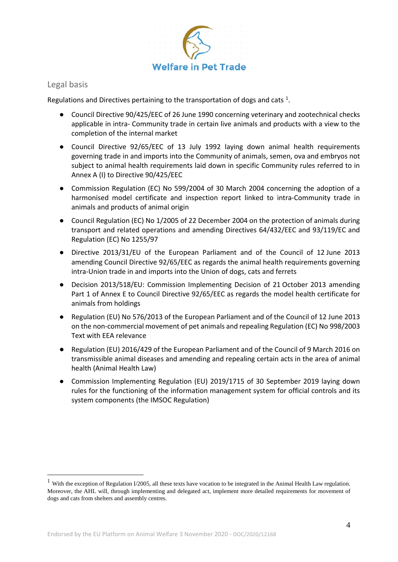

### Legal basis

Regulations and Directives pertaining to the transportation of dogs and cats  $1$ .

- Council Directive 90/425/EEC of 26 June 1990 concerning veterinary and zootechnical checks applicable in intra- Community trade in certain live animals and products with a view to the completion of the internal market
- Council Directive 92/65/EEC of 13 July 1992 laying down animal health requirements governing trade in and imports into the Community of animals, semen, ova and embryos not subject to animal health requirements laid down in specific Community rules referred to in Annex A (I) to Directive 90/425/EEC
- Commission Regulation (EC) No 599/2004 of 30 March 2004 concerning the adoption of a harmonised model certificate and inspection report linked to intra-Community trade in animals and products of animal origin
- Council Regulation (EC) No 1/2005 of 22 December 2004 on the protection of animals during transport and related operations and amending Directives 64/432/EEC and 93/119/EC and Regulation (EC) No 1255/97
- Directive 2013/31/EU of the European Parliament and of the Council of 12 June 2013 amending Council Directive 92/65/EEC as regards the animal health requirements governing intra-Union trade in and imports into the Union of dogs, cats and ferrets
- Decision 2013/518/EU: Commission Implementing Decision of 21 October 2013 amending Part 1 of Annex E to Council Directive 92/65/EEC as regards the model health certificate for animals from holdings
- Regulation (EU) No 576/2013 of the European Parliament and of the Council of 12 June 2013 on the non-commercial movement of pet animals and repealing Regulation (EC) No 998/2003 Text with EEA relevance
- Regulation (EU) 2016/429 of the European Parliament and of the Council of 9 March 2016 on transmissible animal diseases and amending and repealing certain acts in the area of animal health (Animal Health Law)
- Commission Implementing Regulation (EU) 2019/1715 of 30 September 2019 laying down rules for the functioning of the information management system for official controls and its system components (the IMSOC Regulation)

<span id="page-3-0"></span><sup>&</sup>lt;sup>1</sup> With the exception of Regulation I/2005, all these texts have vocation to be integrated in the Animal Health Law regulation. Moreover, the AHL will, through implementing and delegated act, implement more detailed requirements for movement of dogs and cats from shelters and assembly centres.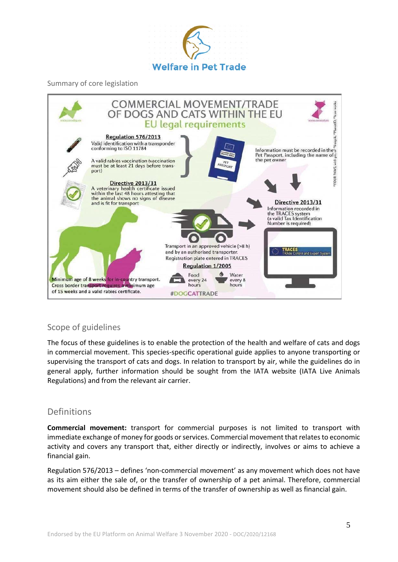

Summary of core legislation



### Scope of guidelines

The focus of these guidelines is to enable the protection of the health and welfare of cats and dogs in commercial movement. This species-specific operational guide applies to anyone transporting or supervising the transport of cats and dogs. In relation to transport by air, while the guidelines do in general apply, further information should be sought from the IATA website (IATA Live Animals Regulations) and from the relevant air carrier.

### Definitions

**Commercial movement:** transport for commercial purposes is not limited to transport with immediate exchange of money for goods or services. Commercial movement that relates to economic activity and covers any transport that, either directly or indirectly, involves or aims to achieve a financial gain.

Regulation 576/2013 – defines 'non-commercial movement' as any movement which does not have as its aim either the sale of, or the transfer of ownership of a pet animal. Therefore, commercial movement should also be defined in terms of the transfer of ownership as well as financial gain.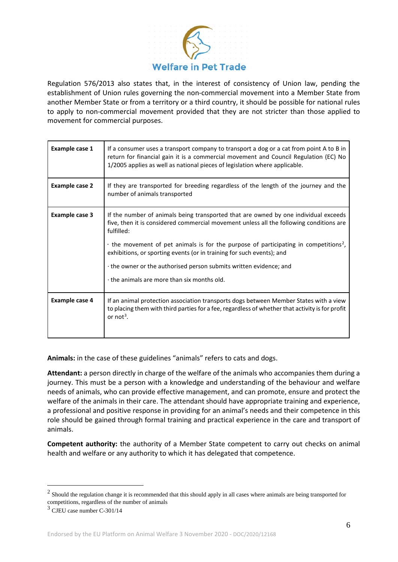

Regulation 576/2013 also states that, in the interest of consistency of Union law, pending the establishment of Union rules governing the non-commercial movement into a Member State from another Member State or from a territory or a third country, it should be possible for national rules to apply to non-commercial movement provided that they are not stricter than those applied to movement for commercial purposes.

| Example case 1        | If a consumer uses a transport company to transport a dog or a cat from point A to B in<br>return for financial gain it is a commercial movement and Council Regulation (EC) No<br>1/2005 applies as well as national pieces of legislation where applicable.                                                                                                                                                                                                                                    |
|-----------------------|--------------------------------------------------------------------------------------------------------------------------------------------------------------------------------------------------------------------------------------------------------------------------------------------------------------------------------------------------------------------------------------------------------------------------------------------------------------------------------------------------|
| <b>Example case 2</b> | If they are transported for breeding regardless of the length of the journey and the<br>number of animals transported                                                                                                                                                                                                                                                                                                                                                                            |
| Example case 3        | If the number of animals being transported that are owned by one individual exceeds<br>five, then it is considered commercial movement unless all the following conditions are<br>fulfilled:<br>$\cdot$ the movement of pet animals is for the purpose of participating in competitions <sup>2</sup> ,<br>exhibitions, or sporting events (or in training for such events); and<br>the owner or the authorised person submits written evidence; and<br>the animals are more than six months old. |
| Example case 4        | If an animal protection association transports dogs between Member States with a view<br>to placing them with third parties for a fee, regardless of whether that activity is for profit<br>or not <sup>3</sup> .                                                                                                                                                                                                                                                                                |

**Animals:** in the case of these guidelines "animals" refers to cats and dogs.

**Attendant:** a person directly in charge of the welfare of the animals who accompanies them during a journey. This must be a person with a knowledge and understanding of the behaviour and welfare needs of animals, who can provide effective management, and can promote, ensure and protect the welfare of the animals in their care. The attendant should have appropriate training and experience, a professional and positive response in providing for an animal's needs and their competence in this role should be gained through formal training and practical experience in the care and transport of animals.

**Competent authority:** the authority of a Member State competent to carry out checks on animal health and welfare or any authority to which it has delegated that competence.

<span id="page-5-0"></span> $2$  Should the regulation change it is recommended that this should apply in all cases where animals are being transported for competitions, regardless of the number of animals 3 CJEU case number C-301/14

<span id="page-5-1"></span>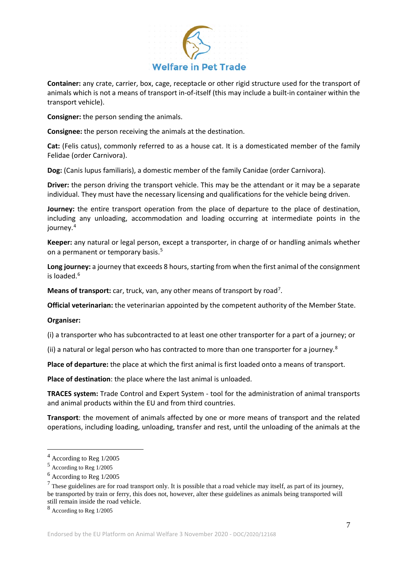

**Container:** any crate, carrier, box, cage, receptacle or other rigid structure used for the transport of animals which is not a means of transport in-of-itself (this may include a built-in container within the transport vehicle).

**Consigner:** the person sending the animals.

**Consignee:** the person receiving the animals at the destination.

**Cat:** (Felis catus), commonly referred to as a house cat. It is a domesticated member of the family Felidae (order Carnivora).

**Dog:** (Canis lupus familiaris), a domestic member of the family Canidae (order Carnivora).

**Driver:** the person driving the transport vehicle. This may be the attendant or it may be a separate individual. They must have the necessary licensing and qualifications for the vehicle being driven.

**Journey:** the entire transport operation from the place of departure to the place of destination, including any unloading, accommodation and loading occurring at intermediate points in the journey.<sup>[4](#page-6-0)</sup>

**Keeper:** any natural or legal person, except a transporter, in charge of or handling animals whether on a permanent or temporary basis.<sup>[5](#page-6-1)</sup>

**Long journey:** a journey that exceeds 8 hours, starting from when the first animal of the consignment is loaded.<sup>[6](#page-6-2)</sup>

Means of transport: car, truck, van, any other means of transport by road<sup>[7](#page-6-3)</sup>.

**Official veterinarian:** the veterinarian appointed by the competent authority of the Member State.

#### **Organiser:**

(i) a transporter who has subcontracted to at least one other transporter for a part of a journey; or

(ii) a natural or legal person who has contracted to more than one transporter for a journey.<sup>[8](#page-6-4)</sup>

**Place of departure:** the place at which the first animal is first loaded onto a means of transport.

**Place of destination**: the place where the last animal is unloaded.

**TRACES system:** Trade Control and Expert System - tool for the administration of animal transports and animal products within the EU and from third countries.

**Transport**: the movement of animals affected by one or more means of transport and the related operations, including loading, unloading, transfer and rest, until the unloading of the animals at the

<span id="page-6-0"></span> <sup>4</sup> According to Reg 1/2005

<span id="page-6-1"></span><sup>5</sup> According to Reg 1/2005

<span id="page-6-2"></span><sup>6</sup> According to Reg 1/2005

<span id="page-6-3"></span> $<sup>7</sup>$  These guidelines are for road transport only. It is possible that a road vehicle may itself, as part of its journey,</sup> be transported by train or ferry, this does not, however, alter these guidelines as animals being transported will still remain inside the road vehicle.

<span id="page-6-4"></span><sup>8</sup> According to Reg 1/2005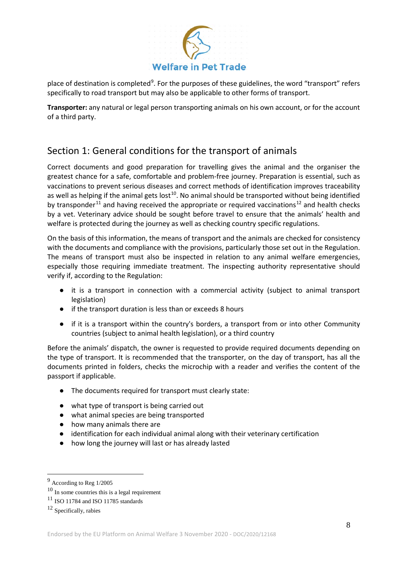

place of destination is completed<sup>[9](#page-7-0)</sup>. For the purposes of these guidelines, the word "transport" refers specifically to road transport but may also be applicable to other forms of transport.

**Transporter:** any natural or legal person transporting animals on his own account, or for the account of a third party.

# Section 1: General conditions for the transport of animals

Correct documents and good preparation for travelling gives the animal and the organiser the greatest chance for a safe, comfortable and problem-free journey. Preparation is essential, such as vaccinations to prevent serious diseases and correct methods of identification improves traceability as well as helping if the animal gets lost<sup>10</sup>. No animal should be transported without being identified by transponder<sup>[11](#page-7-2)</sup> and having received the appropriate or required vaccinations<sup>[12](#page-7-3)</sup> and health checks by a vet. Veterinary advice should be sought before travel to ensure that the animals' health and welfare is protected during the journey as well as checking country specific regulations.

On the basis of this information, the means of transport and the animals are checked for consistency with the documents and compliance with the provisions, particularly those set out in the Regulation. The means of transport must also be inspected in relation to any animal welfare emergencies, especially those requiring immediate treatment. The inspecting authority representative should verify if, according to the Regulation:

- it is a transport in connection with a commercial activity (subject to animal transport legislation)
- if the transport duration is less than or exceeds 8 hours
- if it is a transport within the country's borders, a transport from or into other Community countries (subject to animal health legislation), or a third country

Before the animals' dispatch, the owner is requested to provide required documents depending on the type of transport. It is recommended that the transporter, on the day of transport, has all the documents printed in folders, checks the microchip with a reader and verifies the content of the passport if applicable.

- The documents required for transport must clearly state:
- what type of transport is being carried out
- what animal species are being transported
- how many animals there are
- identification for each individual animal along with their veterinary certification
- how long the journey will last or has already lasted

<span id="page-7-0"></span> <sup>9</sup> According to Reg 1/2005

<span id="page-7-1"></span> $10$  In some countries this is a legal requirement

<span id="page-7-2"></span> $11$  ISO 11784 and ISO 11785 standards

<span id="page-7-3"></span> $12$  Specifically, rabies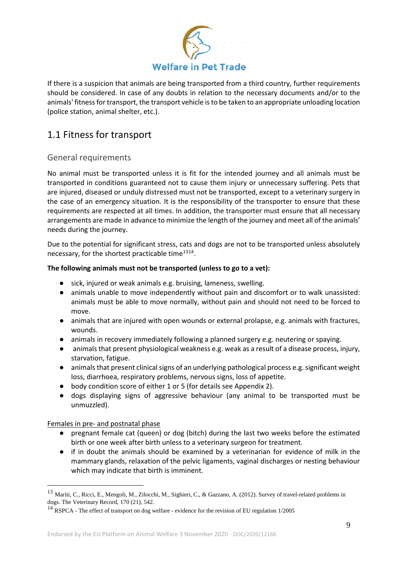

If there is a suspicion that animals are being transported from a third country, further requirements should be considered. In case of any doubts in relation to the necessary documents and/or to the animals' fitness for transport, the transport vehicle is to be taken to an appropriate unloading location (police station, animal shelter, etc.).

# 1.1 Fitness for transport

### General requirements

No animal must be transported unless it is fit for the intended journey and all animals must be transported in conditions guaranteed not to cause them injury or unnecessary suffering. Pets that are injured, diseased or unduly distressed must not be transported, except to a veterinary surgery in the case of an emergency situation. It is the responsibility of the transporter to ensure that these requirements are respected at all times. In addition, the transporter must ensure that all necessary arrangements are made in advance to minimize the length of the journey and meet all of the animals' needs during the journey.

Due to the potential for significant stress, cats and dogs are not to be transported unless absolutely necessary, for the shortest practicable time<sup>[13](#page-8-0)[14](#page-8-1)</sup>.

### **The following animals must not be transported (unless to go to a vet):**

- sick, injured or weak animals e.g. bruising, lameness, swelling.
- animals unable to move independently without pain and discomfort or to walk unassisted: animals must be able to move normally, without pain and should not need to be forced to move.
- animals that are injured with open wounds or external prolapse, e.g. animals with fractures, wounds.
- animals in recovery immediately following a planned surgery e.g. neutering or spaying.
- animals that present physiological weakness e.g. weak as a result of a disease process, injury, starvation, fatigue.
- animals that present clinical signs of an underlying pathological process e.g. significant weight loss, diarrhoea, respiratory problems, nervous signs, loss of appetite.
- body condition score of either 1 or 5 (for details see Appendix 2).
- dogs displaying signs of aggressive behaviour (any animal to be transported must be unmuzzled).

#### Females in pre- and postnatal phase

- pregnant female cat (queen) or dog (bitch) during the last two weeks before the estimated birth or one week after birth unless to a veterinary surgeon for treatment.
- if in doubt the animals should be examined by a veterinarian for evidence of milk in the mammary glands, relaxation of the pelvic ligaments, vaginal discharges or nesting behaviour which may indicate that birth is imminent.

<span id="page-8-0"></span><sup>&</sup>lt;sup>13</sup> Mariti, C., Ricci, E., Mengoli, M., Zilocchi, M., Sighieri, C., & Gazzano, A. (2012). Survey of travel-related problems in dogs. The Veterinary Record, 170 (21), 542.

<span id="page-8-1"></span><sup>&</sup>lt;sup>14</sup> RSPCA - The effect of transport on dog welfare - evidence for the revision of EU regulation 1/2005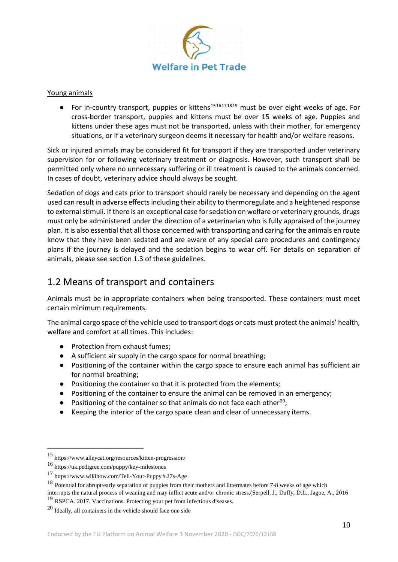

#### Young animals

 $\bullet$  For in-country transport, puppies or kittens<sup>[15](#page-9-0)[16](#page-9-1)[17](#page-9-2)[18](#page-9-3)[19](#page-9-4)</sup> must be over eight weeks of age. For cross-border transport, puppies and kittens must be over 15 weeks of age. Puppies and kittens under these ages must not be transported, unless with their mother, for emergency situations, or if a veterinary surgeon deems it necessary for health and/or welfare reasons.

Sick or injured animals may be considered fit for transport if they are transported under veterinary supervision for or following veterinary treatment or diagnosis. However, such transport shall be permitted only where no unnecessary suffering or ill treatment is caused to the animals concerned. In cases of doubt, veterinary advice should always be sought.

Sedation of dogs and cats prior to transport should rarely be necessary and depending on the agent used can result in adverse effects including their ability to thermoregulate and a heightened response to external stimuli. If there is an exceptional case for sedation on welfare or veterinary grounds, drugs must only be administered under the direction of a veterinarian who is fully appraised of the journey plan. It is also essential that all those concerned with transporting and caring for the animals en route know that they have been sedated and are aware of any special care procedures and contingency plans if the journey is delayed and the sedation begins to wear off. For details on separation of animals, please see section 1.3 of these guidelines.

# 1.2 Means of transport and containers

Animals must be in appropriate containers when being transported. These containers must meet certain minimum requirements.

The animal cargo space of the vehicle used to transport dogs or cats must protect the animals' health, welfare and comfort at all times. This includes:

- Protection from exhaust fumes;
- A sufficient air supply in the cargo space for normal breathing;
- Positioning of the container within the cargo space to ensure each animal has sufficient air for normal breathing;
- Positioning the container so that it is protected from the elements;
- Positioning of the container to ensure the animal can be removed in an emergency;
- Positioning of the container so that animals do not face each other<sup>20</sup>;
- Keeping the interior of the cargo space clean and clear of unnecessary items.

<span id="page-9-0"></span> <sup>15</sup> https://www.alleycat.org/resources/kitten-progression/

<span id="page-9-1"></span><sup>16</sup> https://uk.pedigree.com/puppy/key-milestones

<span id="page-9-2"></span><sup>17</sup> https://www.wikihow.com/Tell-Your-Puppy%27s-Age

<span id="page-9-3"></span><sup>&</sup>lt;sup>18</sup> Potential for abrupt/early separation of puppies from their mothers and littermates before 7-8 weeks of age which

interrupts the natural process of weaning and may inflict acute and/or chronic stress,(Serpell, J., Duffy, D.L., Jagoe, A., 2016 <sup>19</sup> RSPCA. 2017. Vaccinations. Protecting your pet from infectious diseases.

<span id="page-9-5"></span><span id="page-9-4"></span><sup>20</sup> Ideally, all containers in the vehicle should face one side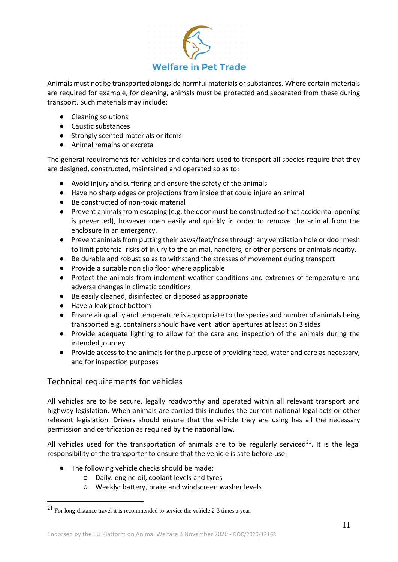

Animals must not be transported alongside harmful materials or substances. Where certain materials are required for example, for cleaning, animals must be protected and separated from these during transport. Such materials may include:

- Cleaning solutions
- Caustic substances
- Strongly scented materials or items
- Animal remains or excreta

The general requirements for vehicles and containers used to transport all species require that they are designed, constructed, maintained and operated so as to:

- Avoid injury and suffering and ensure the safety of the animals
- Have no sharp edges or projections from inside that could injure an animal
- Be constructed of non-toxic material
- Prevent animals from escaping (e.g. the door must be constructed so that accidental opening is prevented), however open easily and quickly in order to remove the animal from the enclosure in an emergency.
- Prevent animals from putting their paws/feet/nose through any ventilation hole or door mesh to limit potential risks of injury to the animal, handlers, or other persons or animals nearby.
- Be durable and robust so as to withstand the stresses of movement during transport
- Provide a suitable non slip floor where applicable
- Protect the animals from inclement weather conditions and extremes of temperature and adverse changes in climatic conditions
- Be easily cleaned, disinfected or disposed as appropriate
- Have a leak proof bottom
- Ensure air quality and temperature is appropriate to the species and number of animals being transported e.g. containers should have ventilation apertures at least on 3 sides
- Provide adequate lighting to allow for the care and inspection of the animals during the intended journey
- Provide access to the animals for the purpose of providing feed, water and care as necessary, and for inspection purposes

### Technical requirements for vehicles

All vehicles are to be secure, legally roadworthy and operated within all relevant transport and highway legislation. When animals are carried this includes the current national legal acts or other relevant legislation. Drivers should ensure that the vehicle they are using has all the necessary permission and certification as required by the national law.

All vehicles used for the transportation of animals are to be regularly serviced<sup>[21](#page-10-0)</sup>. It is the legal responsibility of the transporter to ensure that the vehicle is safe before use.

- The following vehicle checks should be made:
	- Daily: engine oil, coolant levels and tyres
	- Weekly: battery, brake and windscreen washer levels

<span id="page-10-0"></span> <sup>21</sup> For long-distance travel it is recommended to service the vehicle 2-3 times a year.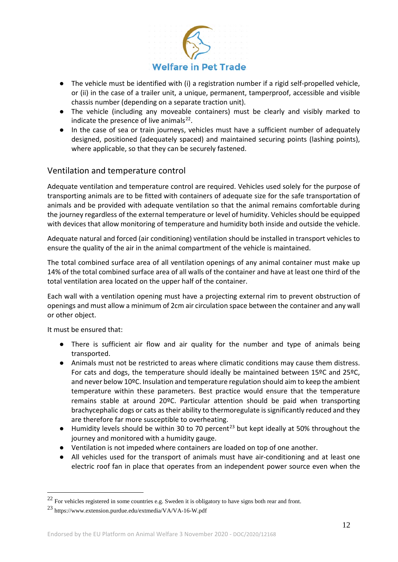

- The vehicle must be identified with (i) a registration number if a rigid self-propelled vehicle, or (ii) in the case of a trailer unit, a unique, permanent, tamperproof, accessible and visible chassis number (depending on a separate traction unit).
- The vehicle (including any moveable containers) must be clearly and visibly marked to indicate the presence of live animals $^{22}$  $^{22}$  $^{22}$ .
- In the case of sea or train journeys, vehicles must have a sufficient number of adequately designed, positioned (adequately spaced) and maintained securing points (lashing points), where applicable, so that they can be securely fastened.

### Ventilation and temperature control

Adequate ventilation and temperature control are required. Vehicles used solely for the purpose of transporting animals are to be fitted with containers of adequate size for the safe transportation of animals and be provided with adequate ventilation so that the animal remains comfortable during the journey regardless of the external temperature or level of humidity. Vehicles should be equipped with devices that allow monitoring of temperature and humidity both inside and outside the vehicle.

Adequate natural and forced (air conditioning) ventilation should be installed in transport vehicles to ensure the quality of the air in the animal compartment of the vehicle is maintained.

The total combined surface area of all ventilation openings of any animal container must make up 14% of the total combined surface area of all walls of the container and have at least one third of the total ventilation area located on the upper half of the container.

Each wall with a ventilation opening must have a projecting external rim to prevent obstruction of openings and must allow a minimum of 2cm air circulation space between the container and any wall or other object.

It must be ensured that:

- There is sufficient air flow and air quality for the number and type of animals being transported.
- Animals must not be restricted to areas where climatic conditions may cause them distress. For cats and dogs, the temperature should ideally be maintained between 15ºC and 25ºC, and never below 10ºC. Insulation and temperature regulation should aim to keep the ambient temperature within these parameters. Best practice would ensure that the temperature remains stable at around 20ºC. Particular attention should be paid when transporting brachycephalic dogs or cats as their ability to thermoregulate is significantly reduced and they are therefore far more susceptible to overheating.
- $\bullet$  Humidity levels should be within 30 to 70 percent<sup>[23](#page-11-1)</sup> but kept ideally at 50% throughout the journey and monitored with a humidity gauge.
- Ventilation is not impeded where containers are loaded on top of one another.
- All vehicles used for the transport of animals must have air-conditioning and at least one electric roof fan in place that operates from an independent power source even when the

<span id="page-11-0"></span><sup>&</sup>lt;sup>22</sup> For vehicles registered in some countries e.g. Sweden it is obligatory to have signs both rear and front.

<span id="page-11-1"></span><sup>23</sup> https://www.extension.purdue.edu/extmedia/VA/VA-16-W.pdf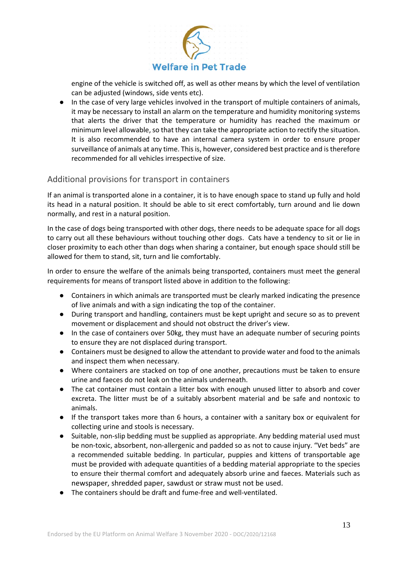

engine of the vehicle is switched off, as well as other means by which the level of ventilation can be adjusted (windows, side vents etc).

● In the case of very large vehicles involved in the transport of multiple containers of animals, it may be necessary to install an alarm on the temperature and humidity monitoring systems that alerts the driver that the temperature or humidity has reached the maximum or minimum level allowable, so that they can take the appropriate action to rectify the situation. It is also recommended to have an internal camera system in order to ensure proper surveillance of animals at any time. This is, however, considered best practice and is therefore recommended for all vehicles irrespective of size.

### Additional provisions for transport in containers

If an animal is transported alone in a container, it is to have enough space to stand up fully and hold its head in a natural position. It should be able to sit erect comfortably, turn around and lie down normally, and rest in a natural position.

In the case of dogs being transported with other dogs, there needs to be adequate space for all dogs to carry out all these behaviours without touching other dogs. Cats have a tendency to sit or lie in closer proximity to each other than dogs when sharing a container, but enough space should still be allowed for them to stand, sit, turn and lie comfortably.

In order to ensure the welfare of the animals being transported, containers must meet the general requirements for means of transport listed above in addition to the following:

- Containers in which animals are transported must be clearly marked indicating the presence of live animals and with a sign indicating the top of the container.
- During transport and handling, containers must be kept upright and secure so as to prevent movement or displacement and should not obstruct the driver's view.
- In the case of containers over 50kg, they must have an adequate number of securing points to ensure they are not displaced during transport.
- Containers must be designed to allow the attendant to provide water and food to the animals and inspect them when necessary.
- Where containers are stacked on top of one another, precautions must be taken to ensure urine and faeces do not leak on the animals underneath.
- The cat container must contain a litter box with enough unused litter to absorb and cover excreta. The litter must be of a suitably absorbent material and be safe and nontoxic to animals.
- If the transport takes more than 6 hours, a container with a sanitary box or equivalent for collecting urine and stools is necessary.
- Suitable, non-slip bedding must be supplied as appropriate. Any bedding material used must be non-toxic, absorbent, non-allergenic and padded so as not to cause injury. "Vet beds" are a recommended suitable bedding. In particular, puppies and kittens of transportable age must be provided with adequate quantities of a bedding material appropriate to the species to ensure their thermal comfort and adequately absorb urine and faeces. Materials such as newspaper, shredded paper, sawdust or straw must not be used.
- The containers should be draft and fume-free and well-ventilated.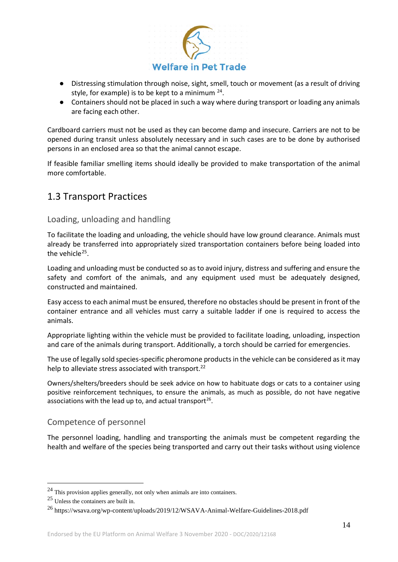

- Distressing stimulation through noise, sight, smell, touch or movement (as a result of driving style, for example) is to be kept to a minimum  $24$ .
- Containers should not be placed in such a way where during transport or loading any animals are facing each other.

Cardboard carriers must not be used as they can become damp and insecure. Carriers are not to be opened during transit unless absolutely necessary and in such cases are to be done by authorised persons in an enclosed area so that the animal cannot escape.

If feasible familiar smelling items should ideally be provided to make transportation of the animal more comfortable.

# 1.3 Transport Practices

### Loading, unloading and handling

To facilitate the loading and unloading, the vehicle should have low ground clearance. Animals must already be transferred into appropriately sized transportation containers before being loaded into the vehicle $25$ .

Loading and unloading must be conducted so as to avoid injury, distress and suffering and ensure the safety and comfort of the animals, and any equipment used must be adequately designed, constructed and maintained.

Easy access to each animal must be ensured, therefore no obstacles should be present in front of the container entrance and all vehicles must carry a suitable ladder if one is required to access the animals.

Appropriate lighting within the vehicle must be provided to facilitate loading, unloading, inspection and care of the animals during transport. Additionally, a torch should be carried for emergencies.

The use of legally sold species-specific pheromone products in the vehicle can be considered as it may help to alleviate stress associated with transport.<sup>22</sup>

Owners/shelters/breeders should be seek advice on how to habituate dogs or cats to a container using positive reinforcement techniques, to ensure the animals, as much as possible, do not have negative associations with the lead up to, and actual transport<sup>[26](#page-13-2)</sup>.

### Competence of personnel

The personnel loading, handling and transporting the animals must be competent regarding the health and welfare of the species being transported and carry out their tasks without using violence

<span id="page-13-0"></span> $24$  This provision applies generally, not only when animals are into containers.

<span id="page-13-1"></span><sup>25</sup> Unless the containers are built in.

<span id="page-13-2"></span><sup>26</sup> https://wsava.org/wp-content/uploads/2019/12/WSAVA-Animal-Welfare-Guidelines-2018.pdf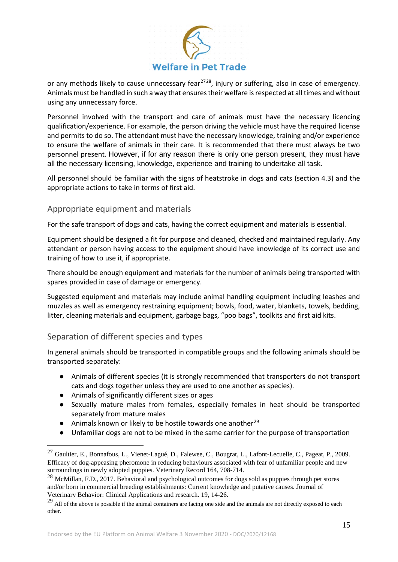

or any methods likely to cause unnecessary fear<sup>[27](#page-14-0)[28](#page-14-1)</sup>, injury or suffering, also in case of emergency. Animals must be handled in such a way that ensures their welfare is respected at all times and without using any unnecessary force.

Personnel involved with the transport and care of animals must have the necessary licencing qualification/experience. For example, the person driving the vehicle must have the required license and permits to do so. The attendant must have the necessary knowledge, training and/or experience to ensure the welfare of animals in their care. It is recommended that there must always be two personnel present. However, if for any reason there is only one person present, they must have all the necessary licensing, knowledge, experience and training to undertake all task.

All personnel should be familiar with the signs of heatstroke in dogs and cats (section 4.3) and the appropriate actions to take in terms of first aid.

### Appropriate equipment and materials

For the safe transport of dogs and cats, having the correct equipment and materials is essential.

Equipment should be designed a fit for purpose and cleaned, checked and maintained regularly. Any attendant or person having access to the equipment should have knowledge of its correct use and training of how to use it, if appropriate.

There should be enough equipment and materials for the number of animals being transported with spares provided in case of damage or emergency.

Suggested equipment and materials may include animal handling equipment including leashes and muzzles as well as emergency restraining equipment; bowls, food, water, blankets, towels, bedding, litter, cleaning materials and equipment, garbage bags, "poo bags", toolkits and first aid kits.

### Separation of different species and types

In general animals should be transported in compatible groups and the following animals should be transported separately:

- Animals of different species (it is strongly recommended that transporters do not transport cats and dogs together unless they are used to one another as species).
- Animals of significantly different sizes or ages
- Sexually mature males from females, especially females in heat should be transported separately from mature males
- Animals known or likely to be hostile towards one another<sup>[29](#page-14-2)</sup>
- Unfamiliar dogs are not to be mixed in the same carrier for the purpose of transportation

<span id="page-14-0"></span><sup>&</sup>lt;sup>27</sup> Gaultier, E., Bonnafous, L., Vienet-Lagué, D., Falewee, C., Bougrat, L., Lafont-Lecuelle, C., Pageat, P., 2009. Efficacy of dog-appeasing pheromone in reducing behaviours associated with fear of unfamiliar people and new surroundings in newly adopted puppies. Veterinary Record 164, 708-714.

<span id="page-14-1"></span><sup>&</sup>lt;sup>28</sup> McMillan, F.D., 2017. Behavioral and psychological outcomes for dogs sold as puppies through pet stores and/or born in commercial breeding establishments: Current knowledge and putative causes. Journal of Veterinary Behavior: Clinical Applications and research. 19, 14-26.

<span id="page-14-2"></span> $29$  All of the above is possible if the animal containers are facing one side and the animals are not directly exposed to each other.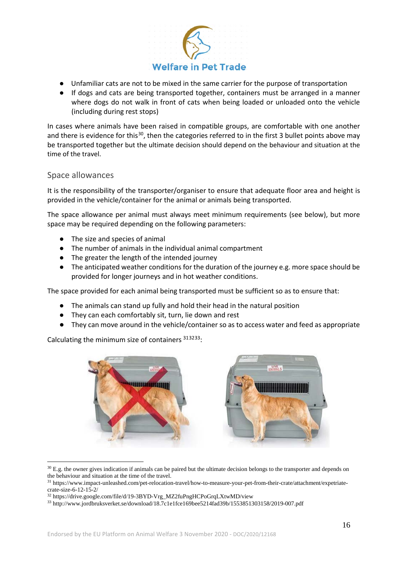

- Unfamiliar cats are not to be mixed in the same carrier for the purpose of transportation
- If dogs and cats are being transported together, containers must be arranged in a manner where dogs do not walk in front of cats when being loaded or unloaded onto the vehicle (including during rest stops)

In cases where animals have been raised in compatible groups, are comfortable with one another and there is evidence for this<sup>30</sup>, then the categories referred to in the first 3 bullet points above may be transported together but the ultimate decision should depend on the behaviour and situation at the time of the travel.

### Space allowances

It is the responsibility of the transporter/organiser to ensure that adequate floor area and height is provided in the vehicle/container for the animal or animals being transported.

The space allowance per animal must always meet minimum requirements (see below), but more space may be required depending on the following parameters:

- The size and species of animal
- The number of animals in the individual animal compartment
- The greater the length of the intended journey
- The anticipated weather conditions for the duration of the journey e.g. more space should be provided for longer journeys and in hot weather conditions.

The space provided for each animal being transported must be sufficient so as to ensure that:

- The animals can stand up fully and hold their head in the natural position
- They can each comfortably sit, turn, lie down and rest
- They can move around in the vehicle/container so as to access water and feed as appropriate

Calculating the minimum size of containers [31](#page-15-1)[32](#page-15-2)[33:](#page-15-3)



 $30$  E.g. the owner gives indication if animals can be paired but the ultimate decision belongs to the transporter and depends on the behaviour and situation at the time of the travel.

<span id="page-15-1"></span><span id="page-15-0"></span><sup>31</sup> https://www.impact-unleashed.com/pet-relocation-travel/how-to-measure-your-pet-from-their-crate/attachment/expetriatecrate-size-6-12-15-2/

<span id="page-15-2"></span><sup>32</sup> https://drive.google.com/file/d/19-3BYD-Vrg\_MZ2fuPngHCPoGrqLXtwMD/view

<span id="page-15-3"></span><sup>33</sup> <http://www.jordbruksverket.se/download/18.7c1e1fce169bee5214fad39b/1553851303158/2019-007.pdf>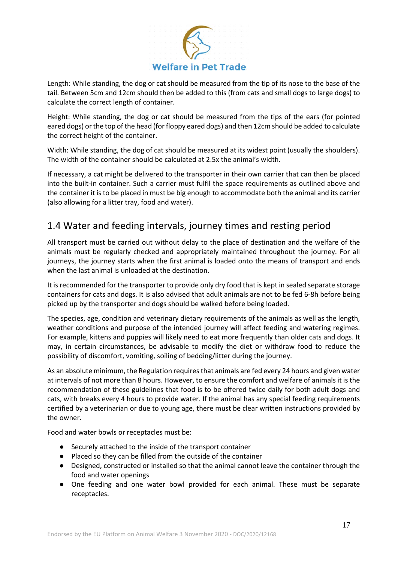

Length: While standing, the dog or cat should be measured from the tip of its nose to the base of the tail. Between 5cm and 12cm should then be added to this (from cats and small dogs to large dogs) to calculate the correct length of container.

Height: While standing, the dog or cat should be measured from the tips of the ears (for pointed eared dogs) or the top of the head (for floppy eared dogs) and then 12cm should be added to calculate the correct height of the container.

Width: While standing, the dog of cat should be measured at its widest point (usually the shoulders). The width of the container should be calculated at 2.5x the animal's width.

If necessary, a cat might be delivered to the transporter in their own carrier that can then be placed into the built-in container. Such a carrier must fulfil the space requirements as outlined above and the container it is to be placed in must be big enough to accommodate both the animal and its carrier (also allowing for a litter tray, food and water).

# 1.4 Water and feeding intervals, journey times and resting period

All transport must be carried out without delay to the place of destination and the welfare of the animals must be regularly checked and appropriately maintained throughout the journey. For all journeys, the journey starts when the first animal is loaded onto the means of transport and ends when the last animal is unloaded at the destination.

It is recommended for the transporter to provide only dry food that is kept in sealed separate storage containers for cats and dogs. It is also advised that adult animals are not to be fed 6-8h before being picked up by the transporter and dogs should be walked before being loaded.

The species, age, condition and veterinary dietary requirements of the animals as well as the length, weather conditions and purpose of the intended journey will affect feeding and watering regimes. For example, kittens and puppies will likely need to eat more frequently than older cats and dogs. It may, in certain circumstances, be advisable to modify the diet or withdraw food to reduce the possibility of discomfort, vomiting, soiling of bedding/litter during the journey.

As an absolute minimum, the Regulation requires that animals are fed every 24 hours and given water at intervals of not more than 8 hours. However, to ensure the comfort and welfare of animals it is the recommendation of these guidelines that food is to be offered twice daily for both adult dogs and cats, with breaks every 4 hours to provide water. If the animal has any special feeding requirements certified by a veterinarian or due to young age, there must be clear written instructions provided by the owner.

Food and water bowls or receptacles must be:

- Securely attached to the inside of the transport container
- Placed so they can be filled from the outside of the container
- Designed, constructed or installed so that the animal cannot leave the container through the food and water openings
- One feeding and one water bowl provided for each animal. These must be separate receptacles.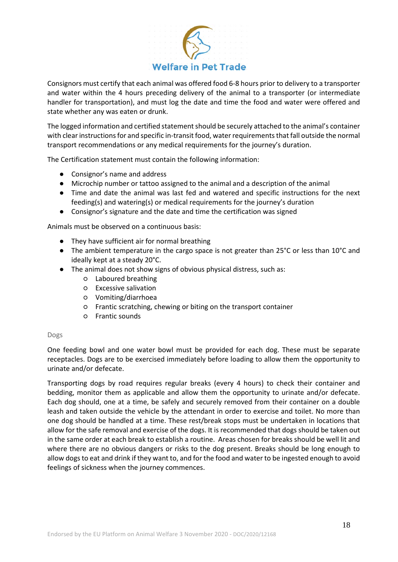

Consignors must certify that each animal was offered food 6-8 hours prior to delivery to a transporter and water within the 4 hours preceding delivery of the animal to a transporter (or intermediate handler for transportation), and must log the date and time the food and water were offered and state whether any was eaten or drunk.

The logged information and certified statement should be securely attached to the animal's container with clear instructions for and specific in-transit food, water requirements that fall outside the normal transport recommendations or any medical requirements for the journey's duration.

The Certification statement must contain the following information:

- Consignor's name and address
- Microchip number or tattoo assigned to the animal and a description of the animal
- Time and date the animal was last fed and watered and specific instructions for the next feeding(s) and watering(s) or medical requirements for the journey's duration
- Consignor's signature and the date and time the certification was signed

Animals must be observed on a continuous basis:

- They have sufficient air for normal breathing
- The ambient temperature in the cargo space is not greater than 25°C or less than 10°C and ideally kept at a steady 20°C.
- The animal does not show signs of obvious physical distress, such as:
	- Laboured breathing
	- Excessive salivation
	- Vomiting/diarrhoea
	- Frantic scratching, chewing or biting on the transport container
	- Frantic sounds

#### Dogs

One feeding bowl and one water bowl must be provided for each dog. These must be separate receptacles. Dogs are to be exercised immediately before loading to allow them the opportunity to urinate and/or defecate.

Transporting dogs by road requires regular breaks (every 4 hours) to check their container and bedding, monitor them as applicable and allow them the opportunity to urinate and/or defecate. Each dog should, one at a time, be safely and securely removed from their container on a double leash and taken outside the vehicle by the attendant in order to exercise and toilet. No more than one dog should be handled at a time. These rest/break stops must be undertaken in locations that allow for the safe removal and exercise of the dogs. It is recommended that dogs should be taken out in the same order at each break to establish a routine. Areas chosen for breaks should be well lit and where there are no obvious dangers or risks to the dog present. Breaks should be long enough to allow dogs to eat and drink if they want to, and for the food and water to be ingested enough to avoid feelings of sickness when the journey commences.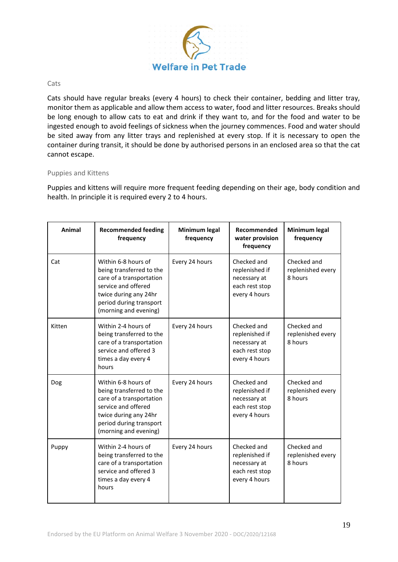

#### **Cats**

Cats should have regular breaks (every 4 hours) to check their container, bedding and litter tray, monitor them as applicable and allow them access to water, food and litter resources. Breaks should be long enough to allow cats to eat and drink if they want to, and for the food and water to be ingested enough to avoid feelings of sickness when the journey commences. Food and water should be sited away from any litter trays and replenished at every stop. If it is necessary to open the container during transit, it should be done by authorised persons in an enclosed area so that the cat cannot escape.

#### Puppies and Kittens

Puppies and kittens will require more frequent feeding depending on their age, body condition and health. In principle it is required every 2 to 4 hours.

| Animal | <b>Recommended feeding</b><br>frequency                                                                                                                                         | Minimum legal<br>frequency | Recommended<br>water provision<br>frequency                                      | Minimum legal<br>frequency                  |
|--------|---------------------------------------------------------------------------------------------------------------------------------------------------------------------------------|----------------------------|----------------------------------------------------------------------------------|---------------------------------------------|
| Cat    | Within 6-8 hours of<br>being transferred to the<br>care of a transportation<br>service and offered<br>twice during any 24hr<br>period during transport<br>(morning and evening) | Every 24 hours             | Checked and<br>replenished if<br>necessary at<br>each rest stop<br>every 4 hours | Checked and<br>replenished every<br>8 hours |
| Kitten | Within 2-4 hours of<br>being transferred to the<br>care of a transportation<br>service and offered 3<br>times a day every 4<br>hours                                            | Every 24 hours             | Checked and<br>replenished if<br>necessary at<br>each rest stop<br>every 4 hours | Checked and<br>replenished every<br>8 hours |
| Dog    | Within 6-8 hours of<br>being transferred to the<br>care of a transportation<br>service and offered<br>twice during any 24hr<br>period during transport<br>(morning and evening) | Every 24 hours             | Checked and<br>replenished if<br>necessary at<br>each rest stop<br>every 4 hours | Checked and<br>replenished every<br>8 hours |
| Puppy  | Within 2-4 hours of<br>being transferred to the<br>care of a transportation<br>service and offered 3<br>times a day every 4<br>hours                                            | Every 24 hours             | Checked and<br>replenished if<br>necessary at<br>each rest stop<br>every 4 hours | Checked and<br>replenished every<br>8 hours |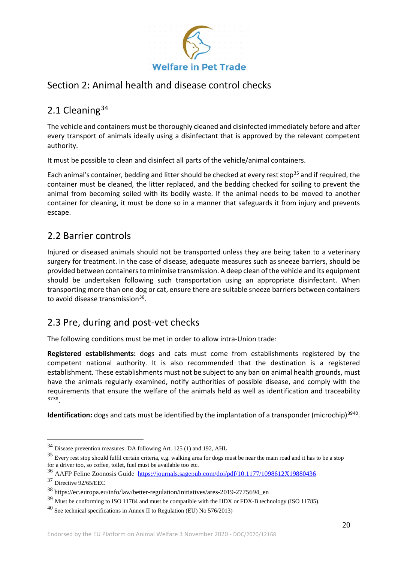

# Section 2: Animal health and disease control checks

# 2.1 Cleaning<sup>[34](#page-19-0)</sup>

The vehicle and containers must be thoroughly cleaned and disinfected immediately before and after every transport of animals ideally using a disinfectant that is approved by the relevant competent authority.

It must be possible to clean and disinfect all parts of the vehicle/animal containers.

Each animal's container, bedding and litter should be checked at every rest stop<sup>[35](#page-19-1)</sup> and if required, the container must be cleaned, the litter replaced, and the bedding checked for soiling to prevent the animal from becoming soiled with its bodily waste. If the animal needs to be moved to another container for cleaning, it must be done so in a manner that safeguards it from injury and prevents escape.

# 2.2 Barrier controls

Injured or diseased animals should not be transported unless they are being taken to a veterinary surgery for treatment. In the case of disease, adequate measures such as sneeze barriers, should be provided between containers to minimise transmission. A deep clean of the vehicle and its equipment should be undertaken following such transportation using an appropriate disinfectant. When transporting more than one dog or cat, ensure there are suitable sneeze barriers between containers to avoid disease transmission<sup>[36](#page-19-2)</sup>.

### 2.3 Pre, during and post-vet checks

The following conditions must be met in order to allow intra-Union trade:

**Registered establishments:** dogs and cats must come from establishments registered by the competent national authority. It is also recommended that the destination is a registered establishment. These establishments must not be subject to any ban on animal health grounds, must have the animals regularly examined, notify authorities of possible disease, and comply with the requirements that ensure the welfare of the animals held as well as identification and traceability [37](#page-19-3)[38](#page-19-4).

**Identification:** dogs and cats must be identified by the implantation of a transponder (microchip)<sup>[39](#page-19-5)[40](#page-19-6)</sup>.

<span id="page-19-0"></span> <sup>34</sup> Disease prevention measures: DA following Art. 125 (1) and 192, AHL

<span id="page-19-1"></span><sup>35</sup> Every rest stop should fulfil certain criteria, e.g. walking area for dogs must be near the main road and it has to be a stop for a driver too, so coffee, toilet, fuel must be available too etc.

<span id="page-19-2"></span><sup>&</sup>lt;sup>36</sup> AAFP Feline Zoonosis Guide <https://journals.sagepub.com/doi/pdf/10.1177/1098612X19880436>

<span id="page-19-3"></span><sup>37</sup> [Directive 92/65/EEC](https://eur-lex.europa.eu/legal-content/EN/TXT/?uri=CELEX:01992L0065-20141229)

<span id="page-19-4"></span><sup>38</sup> https://ec.europa.eu/info/law/better-regulation/initiatives/ares-2019-2775694\_en

<span id="page-19-5"></span><sup>&</sup>lt;sup>39</sup> Must be conforming to ISO 11784 and must be compatible with the HDX or FDX-B technology (ISO 11785).

<span id="page-19-6"></span><sup>40</sup> See technical specifications in Annex II to [Regulation \(EU\) No 576/2013\)](https://eur-lex.europa.eu/legal-content/EN/TXT/?uri=CELEX:32013R0576)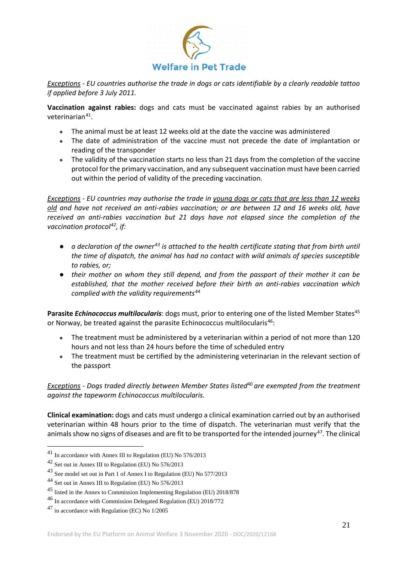

*Exceptions - EU countries authorise the trade in dogs or cats identifiable by a clearly readable tattoo if applied before 3 July 2011.*

**Vaccination against rabies:** dogs and cats must be vaccinated against rabies by an authorised veterinarian[41.](#page-20-0)

- The animal must be at least 12 weeks old at the date the vaccine was administered
- The date of administration of the vaccine must not precede the date of implantation or reading of the transponder
- The validity of the vaccination starts no less than 21 days from the completion of the vaccine protocol for the primary vaccination, and any subsequent vaccination must have been carried out within the period of validity of the preceding vaccination.

*Exceptions - EU countries may authorise the trade in [young dogs or cats that are less than 12 weeks](https://ec.europa.eu/food/animals/pet-movement/eu-legislation/young-animals_en)  [old](https://ec.europa.eu/food/animals/pet-movement/eu-legislation/young-animals_en) and have not received an anti-rabies vaccination; or are between 12 and 16 weeks old, have received an anti-rabies vaccination but 21 days have not elapsed since the completion of the vaccination protocol[42,](#page-20-1) if:*

- *a declaration of the owner[43](#page-20-2) is attached to the health certificate stating that from birth until the time of dispatch, the animal has had no contact with wild animals of species susceptible to rabies, or;*
- *their mother on whom they still depend, and from the passport of their mother it can be established, that the mother received before their birth an anti-rabies vaccination which complied with the validity requirements[44](#page-20-3)*

Parasite *Echinococcus multilocularis*: dogs must, prior to entering one of the listed Member States<sup>[45](#page-20-4)</sup> or Norway, be treated against the parasite Echinococcus multilocularis<sup>[46](#page-20-5)</sup>:

- The treatment must be administered by a veterinarian within a period of not more than 120 hours and not less than 24 hours before the time of scheduled entry
- The treatment must be certified by the administering veterinarian in the relevant section of the passport

*Exceptions - Dogs traded directly between Member States listed*<sup>40</sup>*are exempted from the treatment against the tapeworm Echinococcus multilocularis.* 

**Clinical examination:** dogs and cats must undergo a clinical examination carried out by an authorised veterinarian within 48 hours prior to the time of dispatch. The veterinarian must verify that the animals show no signs of diseases and are fit to be transported for the intended journey<sup>47</sup>. The clinical

<span id="page-20-0"></span> <sup>41</sup> In accordance with Annex III to [Regulation \(EU\) No 576/2013](https://eur-lex.europa.eu/legal-content/EN/TXT/?uri=CELEX:32013R0576)

<span id="page-20-1"></span><sup>42</sup> Set out in Annex III to [Regulation \(EU\) No 576/2013](https://eur-lex.europa.eu/legal-content/EN/TXT/?uri=CELEX:32013R0576)

<span id="page-20-2"></span><sup>43</sup> See model set out i[n Part 1 of Annex I to Regulation \(EU\) No 577/2013](https://eur-lex.europa.eu/legal-content/EN/TXT/?uri=CELEX:02013R0577-20141229)

<span id="page-20-3"></span><sup>44</sup> Set out in Annex III to [Regulation \(EU\) No 576/2013](https://eur-lex.europa.eu/legal-content/EN/TXT/?uri=CELEX:32013R0576)

<span id="page-20-4"></span><sup>&</sup>lt;sup>45</sup> listed in the Annex t[o Commission Implementing Regulation \(EU\) 2018/878](https://eur-lex.europa.eu/legal-content/EN/TXT/?uri=CELEX:32018R0878)

<span id="page-20-5"></span><sup>46</sup> In accordance wit[h Commission Delegated Regulation \(EU\) 2018/772](https://eur-lex.europa.eu/legal-content/EN/TXT/?uri=CELEX:32018R0772)

<span id="page-20-6"></span><sup>47</sup> in accordance wit[h Regulation \(EC\) No 1/2005](https://eur-lex.europa.eu/legal-content/EN/TXT/?uri=CELEX:32005R0001)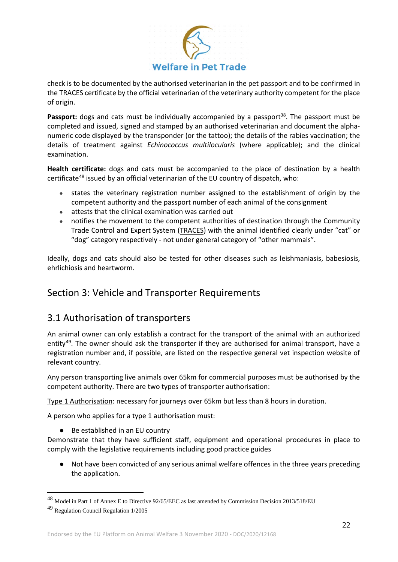

check is to be documented by the authorised veterinarian in the pet passport and to be confirmed in the TRACES certificate by the official veterinarian of the veterinary authority competent for the place of origin.

Passport: dogs and cats must be individually accompanied by a passport<sup>38</sup>. The passport must be completed and issued, signed and stamped by an authorised veterinarian and document the alphanumeric code displayed by the transponder (or the tattoo); the details of the rabies vaccination; the details of treatment against *Echinococcus multilocularis* (where applicable); and the clinical examination.

**Health certificate:** dogs and cats must be accompanied to the place of destination by a health certificate[48](#page-21-0) issued by an official veterinarian of the EU country of dispatch, who:

- states the veterinary registration number assigned to the establishment of origin by the competent authority and the passport number of each animal of the consignment
- attests that the clinical examination was carried out
- notifies the movement to the competent authorities of destination through the Community Trade Control and Expert System [\(TRACES\)](https://ec.europa.eu/food/animals/traces_en) with the animal identified clearly under "cat" or "dog" category respectively - not under general category of "other mammals".

Ideally, dogs and cats should also be tested for other diseases such as leishmaniasis, babesiosis, ehrlichiosis and heartworm.

# Section 3: Vehicle and Transporter Requirements

### 3.1 Authorisation of transporters

An animal owner can only establish a contract for the transport of the animal with an authorized entity<sup>[49](#page-21-1)</sup>. The owner should ask the transporter if they are authorised for animal transport, have a registration number and, if possible, are listed on the respective general vet inspection website of relevant country.

Any person transporting live animals over 65km for commercial purposes must be authorised by the competent authority. There are two types of transporter authorisation:

Type 1 Authorisation: necessary for journeys over 65km but less than 8 hours in duration.

A person who applies for a type 1 authorisation must:

● Be established in an EU country

Demonstrate that they have sufficient staff, equipment and operational procedures in place to comply with the legislative requirements including good practice guides

● Not have been convicted of any serious animal welfare offences in the three years preceding the application.

<span id="page-21-0"></span> <sup>48</sup> Model in Part 1 of Annex E to Directive 92/65/EEC as last amended b[y Commission Decision 2013/518/EU](https://eur-lex.europa.eu/legal-content/EN/TXT/?uri=CELEX:32013D0518)

<span id="page-21-1"></span><sup>49</sup> Regulation Council Regulation 1/2005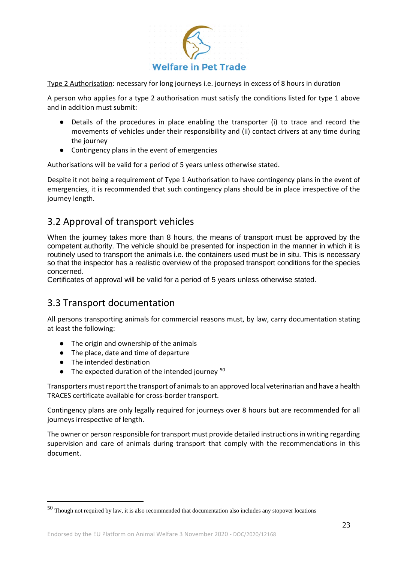

Type 2 Authorisation: necessary for long journeys i.e. journeys in excess of 8 hours in duration

A person who applies for a type 2 authorisation must satisfy the conditions listed for type 1 above and in addition must submit:

- Details of the procedures in place enabling the transporter (i) to trace and record the movements of vehicles under their responsibility and (ii) contact drivers at any time during the journey
- Contingency plans in the event of emergencies

Authorisations will be valid for a period of 5 years unless otherwise stated.

Despite it not being a requirement of Type 1 Authorisation to have contingency plans in the event of emergencies, it is recommended that such contingency plans should be in place irrespective of the journey length.

# 3.2 Approval of transport vehicles

When the journey takes more than 8 hours, the means of transport must be approved by the competent authority. The vehicle should be presented for inspection in the manner in which it is routinely used to transport the animals i.e. the containers used must be in situ. This is necessary so that the inspector has a realistic overview of the proposed transport conditions for the species concerned.

Certificates of approval will be valid for a period of 5 years unless otherwise stated.

### 3.3 Transport documentation

All persons transporting animals for commercial reasons must, by law, carry documentation stating at least the following:

- The origin and ownership of the animals
- The place, date and time of departure
- The intended destination
- $\bullet$  The expected duration of the intended journey  $50$

Transporters must report the transport of animals to an approved local veterinarian and have a health TRACES certificate available for cross-border transport.

Contingency plans are only legally required for journeys over 8 hours but are recommended for all journeys irrespective of length.

The owner or person responsible for transport must provide detailed instructions in writing regarding supervision and care of animals during transport that comply with the recommendations in this document.

<span id="page-22-0"></span> <sup>50</sup> Though not required by law, it is also recommended that documentation also includes any stopover locations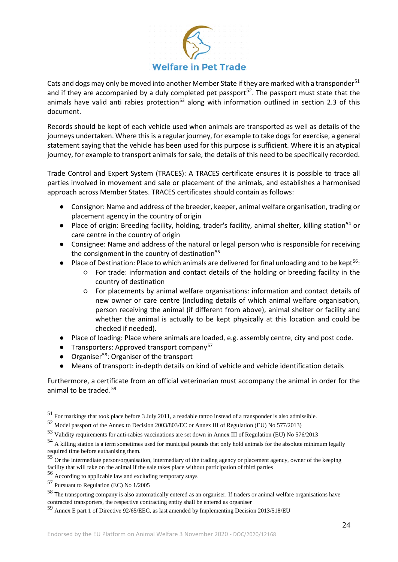

Cats and dogs may only be moved into another Member State if they are marked with a transponder<sup>[51](#page-23-0)</sup> and if they are accompanied by a duly completed pet passport<sup>[52](#page-23-1)</sup>. The passport must state that the animals have valid anti rabies protection<sup>[53](#page-23-2)</sup> along with information outlined in section 2.3 of this document.

Records should be kept of each vehicle used when animals are transported as well as details of the journeys undertaken. Where this is a regular journey, for example to take dogs for exercise, a general statement saying that the vehicle has been used for this purpose is sufficient. Where it is an atypical journey, for example to transport animals for sale, the details of this need to be specifically recorded.

Trade Control and Expert System [\(TRACES\)](https://ec.europa.eu/food/animals/traces_en): A TRACES certificate ensures it is possible to trace all parties involved in movement and sale or placement of the animals, and establishes a harmonised approach across Member States. TRACES certificates should contain as follows:

- Consignor: Name and address of the breeder, keeper, animal welfare organisation, trading or placement agency in the country of origin
- Place of origin: Breeding facility, holding, trader's facility, animal shelter, killing station<sup>[54](#page-23-3)</sup> or care centre in the country of origin
- Consignee: Name and address of the natural or legal person who is responsible for receiving the consignment in the country of destination<sup>[55](#page-23-4)</sup>
- Place of Destination: Place to which animals are delivered for final unloading and to be kept<sup>56</sup>:
	- For trade: information and contact details of the holding or breeding facility in the country of destination
	- For placements by animal welfare organisations: information and contact details of new owner or care centre (including details of which animal welfare organisation, person receiving the animal (if different from above), animal shelter or facility and whether the animal is actually to be kept physically at this location and could be checked if needed).
- Place of loading: Place where animals are loaded, e.g. assembly centre, city and post code.
- **•** Transporters: Approved transport company<sup>[57](#page-23-6)</sup>
- Organiser<sup>58</sup>: Organiser of the transport
- Means of transport: in-depth details on kind of vehicle and vehicle identification details

Furthermore, a certificate from an official veterinarian must accompany the animal in order for the animal to be traded.<sup>[59](#page-23-8)</sup>

<span id="page-23-0"></span> <sup>51</sup> For markings that took place before 3 July 2011, a readable tattoo instead of a transponder is also admissible.

<span id="page-23-1"></span><sup>52</sup> Model passport of the Annex to Decision 2003/803/EC or Annex III of Regulation (EU) No 577/2013)

<span id="page-23-2"></span><sup>53</sup> Validity requirements for anti-rabies vaccinations are set down in Annex III of Regulation (EU) No 576/2013

<span id="page-23-3"></span><sup>&</sup>lt;sup>54</sup> A killing station is a term sometimes used for municipal pounds that only hold animals for the absolute minimum legally required time before euthanising them.

<span id="page-23-4"></span><sup>55</sup> Or the intermediate person/organisation, intermediary of the trading agency or placement agency, owner of the keeping facility that will take on the animal if the sale takes place without participation of third parties

<span id="page-23-5"></span><sup>56</sup> According to applicable law and excluding temporary stays

<span id="page-23-6"></span><sup>57</sup> Pursuant to Regulation (EC) No 1/2005

<span id="page-23-7"></span><sup>58</sup> The transporting company is also automatically entered as an organiser. If traders or animal welfare organisations have contracted transporters, the respective contracting entity shall be entered as organiser

<span id="page-23-8"></span><sup>59</sup> Annex E part 1 of Directive 92/65/EEC, as last amended by Implementing Decision 2013/518/EU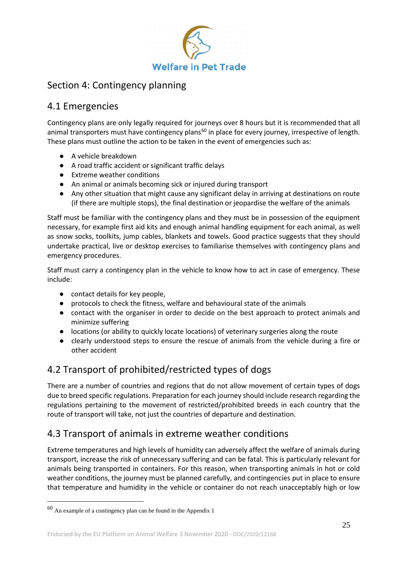

# Section 4: Contingency planning

# 4.1 Emergencies

Contingency plans are only legally required for journeys over 8 hours but it is recommended that all animal transporters must have contingency plans<sup>[60](#page-24-0)</sup> in place for every journey, irrespective of length. These plans must outline the action to be taken in the event of emergencies such as:

- A vehicle breakdown
- A road traffic accident or significant traffic delays
- Extreme weather conditions
- An animal or animals becoming sick or injured during transport
- Any other situation that might cause any significant delay in arriving at destinations on route (if there are multiple stops), the final destination or jeopardise the welfare of the animals

Staff must be familiar with the contingency plans and they must be in possession of the equipment necessary, for example first aid kits and enough animal handling equipment for each animal, as well as snow socks, toolkits, jump cables, blankets and towels. Good practice suggests that they should undertake practical, live or desktop exercises to familiarise themselves with contingency plans and emergency procedures.

Staff must carry a contingency plan in the vehicle to know how to act in case of emergency. These include:

- contact details for key people,
- protocols to check the fitness, welfare and behavioural state of the animals
- contact with the organiser in order to decide on the best approach to protect animals and minimize suffering
- locations (or ability to quickly locate locations) of veterinary surgeries along the route
- clearly understood steps to ensure the rescue of animals from the vehicle during a fire or other accident

# 4.2 Transport of prohibited/restricted types of dogs

There are a number of countries and regions that do not allow movement of certain types of dogs due to breed specific regulations. Preparation for each journey should include research regarding the regulations pertaining to the movement of restricted/prohibited breeds in each country that the route of transport will take, not just the countries of departure and destination.

# 4.3 Transport of animals in extreme weather conditions

Extreme temperatures and high levels of humidity can adversely affect the welfare of animals during transport, increase the risk of unnecessary suffering and can be fatal. This is particularly relevant for animals being transported in containers. For this reason, when transporting animals in hot or cold weather conditions, the journey must be planned carefully, and contingencies put in place to ensure that temperature and humidity in the vehicle or container do not reach unacceptably high or low

<span id="page-24-0"></span> $^{60}$  An example of a contingency plan can be found in the Appendix  $1\,$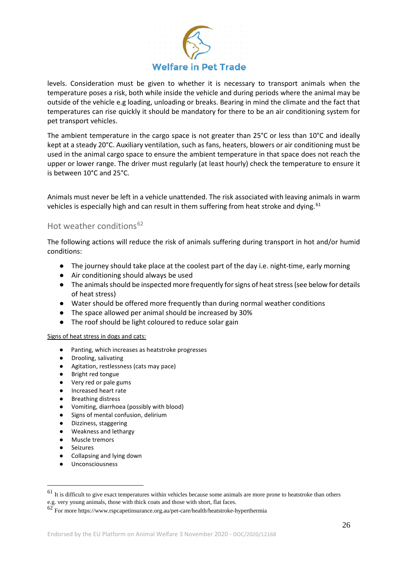

levels. Consideration must be given to whether it is necessary to transport animals when the temperature poses a risk, both while inside the vehicle and during periods where the animal may be outside of the vehicle e.g loading, unloading or breaks. Bearing in mind the climate and the fact that temperatures can rise quickly it should be mandatory for there to be an air conditioning system for pet transport vehicles.

The ambient temperature in the cargo space is not greater than 25°C or less than 10°C and ideally kept at a steady 20°C. Auxiliary ventilation, such as fans, heaters, blowers or air conditioning must be used in the animal cargo space to ensure the ambient temperature in that space does not reach the upper or lower range. The driver must regularly (at least hourly) check the temperature to ensure it is between 10°C and 25°C.

Animals must never be left in a vehicle unattended. The risk associated with leaving animals in warm vehicles is especially high and can result in them suffering from heat stroke and dying.<sup>[61](#page-25-0)</sup>

### Hot weather conditions<sup>[62](#page-25-1)</sup>

The following actions will reduce the risk of animals suffering during transport in hot and/or humid conditions:

- The journey should take place at the coolest part of the day i.e. night-time, early morning
- Air conditioning should always be used
- The animals should be inspected more frequently for signs of heat stress (see below for details of heat stress)
- Water should be offered more frequently than during normal weather conditions
- The space allowed per animal should be increased by 30%
- The roof should be light coloured to reduce solar gain

#### Signs of heat stress in dogs and cats:

- Panting, which increases as heatstroke progresses
- Drooling, salivating
- Agitation, restlessness (cats may pace)
- Bright red tongue
- Very red or pale gums
- Increased heart rate
- Breathing distress
- Vomiting, diarrhoea (possibly with blood)
- Signs of mental confusion, delirium
- Dizziness, staggering
- Weakness and lethargy
- Muscle tremors
- Seizures
- Collapsing and lying down
- Unconsciousness

<span id="page-25-0"></span> $61$  It is difficult to give exact temperatures within vehicles because some animals are more prone to heatstroke than others e.g. very young animals, those with thick coats and those with short, flat faces.

<span id="page-25-1"></span><sup>62</sup> For more<https://www.rspcapetinsurance.org.au/pet-care/health/heatstroke-hyperthermia>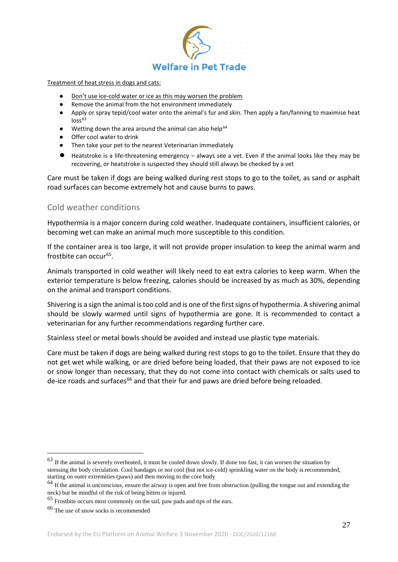

#### Treatment of heat stress in dogs and cats:

- Don't use ice-cold water or ice as this may worsen the problem
- Remove the animal from the hot environment immediately
- Apply or spray tepid/cool water onto the animal's fur and skin. Then apply a fan/fanning to maximise heat  $\log$ <sup>[63](#page-26-0)</sup>
- $\bullet$  Wetting down the area around the animal can also help<sup>[64](#page-26-1)</sup>
- Offer cool water to drink
- Then take your pet to the nearest Veterinarian immediately
- Heatstroke is a life-threatening emergency always see a vet. Even if the animal looks like they may be recovering, or heatstroke is suspected they should still always be checked by a vet

Care must be taken if dogs are being walked during rest stops to go to the toilet, as sand or asphalt road surfaces can become extremely hot and cause burns to paws.

### Cold weather conditions

Hypothermia is a major concern during cold weather. Inadequate containers, insufficient calories, or becoming wet can make an animal much more susceptible to this condition.

If the container area is too large, it will not provide proper insulation to keep the animal warm and frostbite can occur<sup>65</sup>.

Animals transported in cold weather will likely need to eat extra calories to keep warm. When the exterior temperature is below freezing, calories should be increased by as much as 30%, depending on the animal and transport conditions.

Shivering is a sign the animal is too cold and is one of the first signs of hypothermia. A shivering animal should be slowly warmed until signs of hypothermia are gone. It is recommended to contact a veterinarian for any further recommendations regarding further care.

Stainless steel or metal bowls should be avoided and instead use plastic type materials.

Care must be taken if dogs are being walked during rest stops to go to the toilet. Ensure that they do not get wet while walking, or are dried before being loaded, that their paws are not exposed to ice or snow longer than necessary, that they do not come into contact with chemicals or salts used to de-ice roads and surfaces<sup>[66](#page-26-3)</sup> and that their fur and paws are dried before being reloaded.

<span id="page-26-0"></span> $63$  If the animal is severely overheated, it must be cooled down slowly. If done too fast, it can worsen the situation by stressing the body circulation. Cool bandages or not cool (but not ice-cold) sprinkling water on the body is recommended, starting on outer extremities (paws) and then moving to the core body

<span id="page-26-1"></span> $64$  If the animal is unconscious, ensure the airway is open and free from obstruction (pulling the tongue out and extending the neck) but be mindful of the risk of being bitten or injured.

<span id="page-26-2"></span> $65$  Frostbite occurs most commonly on the tail, paw pads and tips of the ears.

<span id="page-26-3"></span><sup>66</sup> The use of snow socks is recommended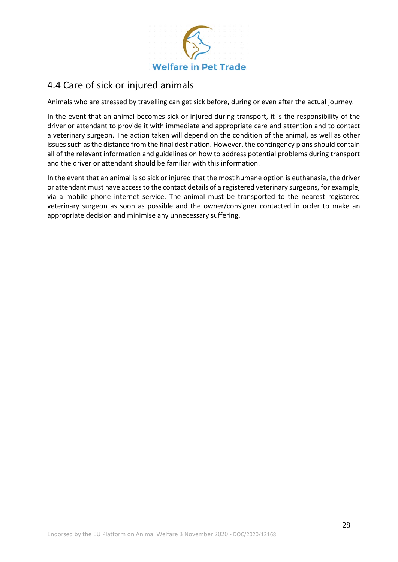

### 4.4 Care of sick or injured animals

Animals who are stressed by travelling can get sick before, during or even after the actual journey.

In the event that an animal becomes sick or injured during transport, it is the responsibility of the driver or attendant to provide it with immediate and appropriate care and attention and to contact a veterinary surgeon. The action taken will depend on the condition of the animal, as well as other issues such as the distance from the final destination. However, the contingency plans should contain all of the relevant information and guidelines on how to address potential problems during transport and the driver or attendant should be familiar with this information.

In the event that an animal is so sick or injured that the most humane option is euthanasia, the driver or attendant must have access to the contact details of a registered veterinary surgeons, for example, via a mobile phone internet service. The animal must be transported to the nearest registered veterinary surgeon as soon as possible and the owner/consigner contacted in order to make an appropriate decision and minimise any unnecessary suffering.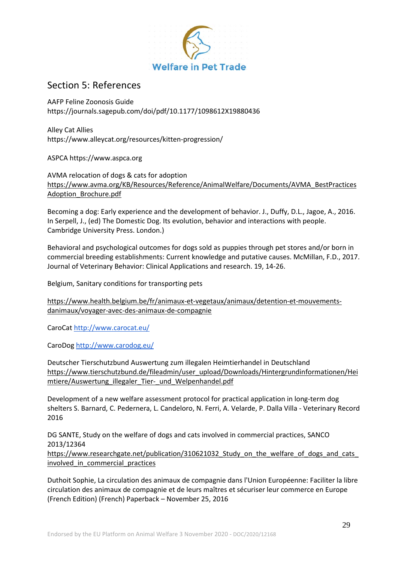

### Section 5: References

AAFP Feline Zoonosis Guide <https://journals.sagepub.com/doi/pdf/10.1177/1098612X19880436>

Alley Cat Allies https://www.alleycat.org/resources/kitten-progression/

ASPCA https://www.aspca.org

AVMA relocation of dogs & cats for adoptio[n](https://www.avma.org/KB/Resources/Reference/AnimalWelfare/Documents/AVMA_BestPracticesAdoption_Brochure.pdf) [https://www.avma.org/KB/Resources/Reference/AnimalWelfare/Documents/AVMA\\_BestPractices](https://www.avma.org/KB/Resources/Reference/AnimalWelfare/Documents/AVMA_BestPracticesAdoption_Brochure.pdf) [Adoption\\_Brochure.pdf](https://www.avma.org/KB/Resources/Reference/AnimalWelfare/Documents/AVMA_BestPracticesAdoption_Brochure.pdf)

Becoming a dog: Early experience and the development of behavior. J., Duffy, D.L., Jagoe, A., 2016. In Serpell, J., (ed) The Domestic Dog. Its evolution, behavior and interactions with people. Cambridge University Press. London.)

Behavioral and psychological outcomes for dogs sold as puppies through pet stores and/or born in commercial breeding establishments: Current knowledge and putative causes. McMillan, F.D., 2017. Journal of Veterinary Behavior: Clinical Applications and research. 19, 14-26.

Belgium, Sanitary conditions for transporting pets

[https://www.health.belgium.be/fr/animaux-et-vegetaux/animaux/detention-et-mouvements](https://www.health.belgium.be/fr/animaux-et-vegetaux/animaux/detention-et-mouvements-danimaux/voyager-avec-des-animaux-de-compagnie)[danimaux/voyager-avec-des-animaux-de-compagnie](https://www.health.belgium.be/fr/animaux-et-vegetaux/animaux/detention-et-mouvements-danimaux/voyager-avec-des-animaux-de-compagnie)

CaroCa[t http://www.carocat.eu/](http://www.carocat.eu/)

CaroDog<http://www.carodog.eu/>

Deutscher Tierschutzbund Auswertung zum illegalen Heimtierhandel in Deutschlan[d](https://www.tierschutzbund.de/fileadmin/user_upload/Downloads/Hintergrundinformationen/Heimtiere/Auswertung_illegaler_Tier-_und_Welpenhandel.pdf) [https://www.tierschutzbund.de/fileadmin/user\\_upload/Downloads/Hintergrundinformationen/Hei](https://www.tierschutzbund.de/fileadmin/user_upload/Downloads/Hintergrundinformationen/Heimtiere/Auswertung_illegaler_Tier-_und_Welpenhandel.pdf) [mtiere/Auswertung\\_illegaler\\_Tier-\\_und\\_Welpenhandel.pdf](https://www.tierschutzbund.de/fileadmin/user_upload/Downloads/Hintergrundinformationen/Heimtiere/Auswertung_illegaler_Tier-_und_Welpenhandel.pdf)

Development of a new welfare assessment protocol for practical application in long-term dog shelters S. Barnard, C. Pedernera, L. Candeloro, N. Ferri, A. Velarde, P. Dalla Villa - Veterinary Record 2016

DG SANTE, [Study on the welfare of dogs and cats involved in commercial practices, SANCO](https://www.researchgate.net/publication/310621032_Study_on_the_welfare_of_dogs_and_cats_involved_in_commercial_practices)  2013/12364

https://www.researchgate.net/publication/310621032 Study on the welfare of dogs and cats involved in commercial practices

Duthoit Sophie, La circulation des animaux de compagnie dans l'Union Européenne: Faciliter la libre circulation des animaux de compagnie et de leurs maîtres et sécuriser leur commerce en Europe (French Edition) (French) Paperback – November 25, 2016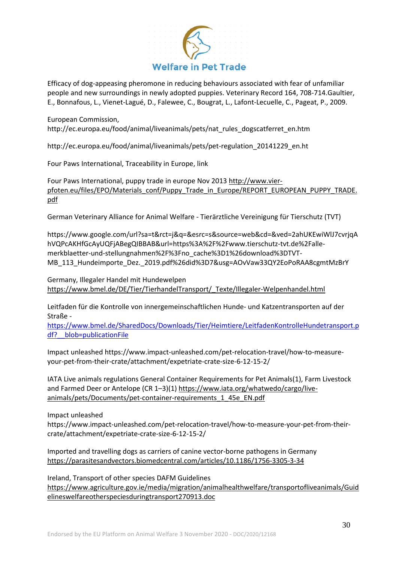

Efficacy of dog-appeasing pheromone in reducing behaviours associated with fear of unfamiliar people and new surroundings in newly adopted puppies. Veterinary Record 164, 708-714.Gaultier, E., Bonnafous, L., Vienet-Lagué, D., Falewee, C., Bougrat, L., Lafont-Lecuelle, C., Pageat, P., 2009.

European Commission, http://ec.europa.eu/food/animal/liveanimals/pets/nat\_rules\_dogscatferret\_en.htm

http://ec.europa.eu/food/animal/liveanimals/pets/pet-regulation\_20141229\_en.ht

Four Paws International, Traceability in Europe, link

Four Paws International, puppy trade in europe Nov 201[3](http://www.vier-pfoten.eu/files/EPO/Materials_conf/Puppy_Trade_in_Europe/REPORT_EUROPEAN_PUPPY_TRADE.pdf) [http://www.vier](http://www.vier-pfoten.eu/files/EPO/Materials_conf/Puppy_Trade_in_Europe/REPORT_EUROPEAN_PUPPY_TRADE.pdf)[pfoten.eu/files/EPO/Materials\\_conf/Puppy\\_Trade\\_in\\_Europe/REPORT\\_EUROPEAN\\_PUPPY\\_TRADE.](http://www.vier-pfoten.eu/files/EPO/Materials_conf/Puppy_Trade_in_Europe/REPORT_EUROPEAN_PUPPY_TRADE.pdf) [pdf](http://www.vier-pfoten.eu/files/EPO/Materials_conf/Puppy_Trade_in_Europe/REPORT_EUROPEAN_PUPPY_TRADE.pdf)

German Veterinary Alliance for Animal Welfare - Tierärztliche Vereinigung für Tierschutz (TVT)

[https://www.google.com/url?sa=t&rct=j&q=&esrc=s&source=web&cd=&ved=2ahUKEwiWlJ7cvrjqA](https://www.google.com/url?sa=t&rct=j&q=&esrc=s&source=web&cd=&ved=2ahUKEwiWlJ7cvrjqAhVQPcAKHfGcAyUQFjABegQIBBAB&url=https%3A%2F%2Fwww.tierschutz-tvt.de%2Falle-merkblaetter-und-stellungnahmen%2F%3Fno_cache%3D1%26download%3DTVT-MB_113_Hundeimporte_Dez._2019.pdf%26did%3D7&usg=AOvVaw33QY2EoPoRAA8cgmtMzBrY) [hVQPcAKHfGcAyUQFjABegQIBBAB&url=https%3A%2F%2Fwww.tierschutz-tvt.de%2Falle](https://www.google.com/url?sa=t&rct=j&q=&esrc=s&source=web&cd=&ved=2ahUKEwiWlJ7cvrjqAhVQPcAKHfGcAyUQFjABegQIBBAB&url=https%3A%2F%2Fwww.tierschutz-tvt.de%2Falle-merkblaetter-und-stellungnahmen%2F%3Fno_cache%3D1%26download%3DTVT-MB_113_Hundeimporte_Dez._2019.pdf%26did%3D7&usg=AOvVaw33QY2EoPoRAA8cgmtMzBrY)[merkblaetter-und-stellungnahmen%2F%3Fno\\_cache%3D1%26download%3DTVT-](https://www.google.com/url?sa=t&rct=j&q=&esrc=s&source=web&cd=&ved=2ahUKEwiWlJ7cvrjqAhVQPcAKHfGcAyUQFjABegQIBBAB&url=https%3A%2F%2Fwww.tierschutz-tvt.de%2Falle-merkblaetter-und-stellungnahmen%2F%3Fno_cache%3D1%26download%3DTVT-MB_113_Hundeimporte_Dez._2019.pdf%26did%3D7&usg=AOvVaw33QY2EoPoRAA8cgmtMzBrY)[MB\\_113\\_Hundeimporte\\_Dez.\\_2019.pdf%26did%3D7&usg=AOvVaw33QY2EoPoRAA8cgmtMzBrY](https://www.google.com/url?sa=t&rct=j&q=&esrc=s&source=web&cd=&ved=2ahUKEwiWlJ7cvrjqAhVQPcAKHfGcAyUQFjABegQIBBAB&url=https%3A%2F%2Fwww.tierschutz-tvt.de%2Falle-merkblaetter-und-stellungnahmen%2F%3Fno_cache%3D1%26download%3DTVT-MB_113_Hundeimporte_Dez._2019.pdf%26did%3D7&usg=AOvVaw33QY2EoPoRAA8cgmtMzBrY)

Germany, Illegaler Handel mit Hundewelpe[n](https://www.bmel.de/DE/Tier/TierhandelTransport/_Texte/Illegaler-Welpenhandel.html) [https://www.bmel.de/DE/Tier/TierhandelTransport/\\_Texte/Illegaler-Welpenhandel.html](https://www.bmel.de/DE/Tier/TierhandelTransport/_Texte/Illegaler-Welpenhandel.html)

Leitfaden für die Kontrolle von innergemeinschaftlichen Hunde- und Katzentransporten auf der Straße -

[https://www.bmel.de/SharedDocs/Downloads/Tier/Heimtiere/LeitfadenKontrolleHundetransport.p](https://www.bmel.de/SharedDocs/Downloads/Tier/Heimtiere/LeitfadenKontrolleHundetransport.pdf?__blob=publicationFile) [df?\\_\\_blob=publicationFile](https://www.bmel.de/SharedDocs/Downloads/Tier/Heimtiere/LeitfadenKontrolleHundetransport.pdf?__blob=publicationFile)

Impact unleashed https://www.impact-unleashed.com/pet-relocation-travel/how-to-measureyour-pet-from-their-crate/attachment/expetriate-crate-size-6-12-15-2/

IATA Live animals regulations General Container Requirements for Pet Animals(1), Farm Livestock and Farmed Deer or Antelope (CR 1–3)(1[\)](https://www.iata.org/whatwedo/cargo/live-animals/pets/Documents/pet-container-requirements_1_45e_EN.pdf) [https://www.iata.org/whatwedo/cargo/live](https://www.iata.org/whatwedo/cargo/live-animals/pets/Documents/pet-container-requirements_1_45e_EN.pdf)[animals/pets/Documents/pet-container-requirements\\_1\\_45e\\_EN.pdf](https://www.iata.org/whatwedo/cargo/live-animals/pets/Documents/pet-container-requirements_1_45e_EN.pdf)

Impact unleashed

https://www.impact-unleashed.com/pet-relocation-travel/how-to-measure-your-pet-from-theircrate/attachment/expetriate-crate-size-6-12-15-2/

Imported and travelling dogs as carriers of canine vector-borne pathogens in Germany <https://parasitesandvectors.biomedcentral.com/articles/10.1186/1756-3305-3-34>

Ireland, Transport of other species DAFM Guideline[s](https://www.agriculture.gov.ie/media/migration/animalhealthwelfare/transportofliveanimals/Guidelineswelfareotherspeciesduringtransport270913.doc) [https://www.agriculture.gov.ie/media/migration/animalhealthwelfare/transportofliveanimals/Guid](https://www.agriculture.gov.ie/media/migration/animalhealthwelfare/transportofliveanimals/Guidelineswelfareotherspeciesduringtransport270913.doc) [elineswelfareotherspeciesduringtransport270913.doc](https://www.agriculture.gov.ie/media/migration/animalhealthwelfare/transportofliveanimals/Guidelineswelfareotherspeciesduringtransport270913.doc)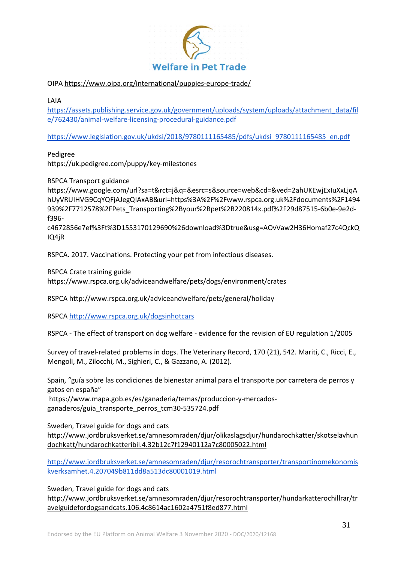

#### OIPA <https://www.oipa.org/international/puppies-europe-trade/>

LAIA

[https://assets.publishing.service.gov.uk/government/uploads/system/uploads/attachment\\_data/fil](https://assets.publishing.service.gov.uk/government/uploads/system/uploads/attachment_data/file/762430/animal-welfare-licensing-procedural-guidance.pdf) [e/762430/animal-welfare-licensing-procedural-guidance.pdf](https://assets.publishing.service.gov.uk/government/uploads/system/uploads/attachment_data/file/762430/animal-welfare-licensing-procedural-guidance.pdf)

[https://www.legislation.gov.uk/ukdsi/2018/9780111165485/pdfs/ukdsi\\_9780111165485\\_en.pdf](https://www.legislation.gov.uk/ukdsi/2018/9780111165485/pdfs/ukdsi_9780111165485_en.pdf)

Pedigree

https://uk.pedigree.com/puppy/key-milestones

RSPCA Transport guidance

https://www.google.com/url?sa=t&rct=j&q=&esrc=s&source=web&cd=&ved=2ahUKEwjExIuXxLjqA hUyVRUIHVG9CqYQFjAJegQIAxAB&url=https%3A%2F%2Fwww.rspca.org.uk%2Fdocuments%2F1494 939%2F7712578%2FPets\_Transporting%2Byour%2Bpet%2B220814x.pdf%2F29d87515-6b0e-9e2df396-

c4672856e7ef%3Ft%3D1553170129690%26download%3Dtrue&usg=AOvVaw2H36Homaf27c4QckQ IQ4jR

RSPCA. 2017. Vaccinations. Protecting your pet from infectious diseases.

RSPCA Crate training guid[e](https://www.rspca.org.uk/adviceandwelfare/pets/dogs/environment/crates)

<https://www.rspca.org.uk/adviceandwelfare/pets/dogs/environment/crates>

RSPCA http://www.rspca.org.uk/adviceandwelfare/pets/general/holiday

RSPCA<http://www.rspca.org.uk/dogsinhotcars>

RSPCA - The effect of transport on dog welfare - evidence for the revision of EU regulation 1/2005

Survey of travel-related problems in dogs. The Veterinary Record, 170 (21), 542. Mariti, C., Ricci, E., Mengoli, M., Zilocchi, M., Sighieri, C., & Gazzano, A. (2012).

Spain, "guía sobre las condiciones de bienestar animal para el transporte por carretera de perros y gatos en españa"

[https://www.mapa.gob.es/es/ganaderia/temas/produccion-y-mercados](https://www.mapa.gob.es/es/ganaderia/temas/produccion-y-mercados-ganaderos/guia_transporte_perros_tcm30-535724.pdf)[ganaderos/guia\\_transporte\\_perros\\_tcm30-535724.pdf](https://www.mapa.gob.es/es/ganaderia/temas/produccion-y-mercados-ganaderos/guia_transporte_perros_tcm30-535724.pdf)

Sweden, Travel guide for dogs and cats

[http://www.jordbruksverket.se/amnesomraden/djur/olikaslagsdjur/hundarochkatter/skotselavhun](http://www.jordbruksverket.se/amnesomraden/djur/olikaslagsdjur/hundarochkatter/skotselavhundochkatt/hundarochkatteribil.4.32b12c7f12940112a7c80005022.html) [dochkatt/hundarochkatteribil.4.32b12c7f12940112a7c80005022.html](http://www.jordbruksverket.se/amnesomraden/djur/olikaslagsdjur/hundarochkatter/skotselavhundochkatt/hundarochkatteribil.4.32b12c7f12940112a7c80005022.html)

[http://www.jordbruksverket.se/amnesomraden/djur/resorochtransporter/transportinomekonomis](http://www.jordbruksverket.se/amnesomraden/djur/resorochtransporter/transportinomekonomiskverksamhet.4.207049b811dd8a513dc80001019.html) [kverksamhet.4.207049b811dd8a513dc80001019.html](http://www.jordbruksverket.se/amnesomraden/djur/resorochtransporter/transportinomekonomiskverksamhet.4.207049b811dd8a513dc80001019.html)

Sweden, Travel guide for dogs and cat[s](http://www.jordbruksverket.se/amnesomraden/djur/resorochtransporter/hundarkatterochillrar/travelguidefordogsandcats.106.4c8614ac1602a4751f8ed877.html)

[http://www.jordbruksverket.se/amnesomraden/djur/resorochtransporter/hundarkatterochillrar/tr](http://www.jordbruksverket.se/amnesomraden/djur/resorochtransporter/hundarkatterochillrar/travelguidefordogsandcats.106.4c8614ac1602a4751f8ed877.html) [avelguidefordogsandcats.106.4c8614ac1602a4751f8ed877.html](http://www.jordbruksverket.se/amnesomraden/djur/resorochtransporter/hundarkatterochillrar/travelguidefordogsandcats.106.4c8614ac1602a4751f8ed877.html)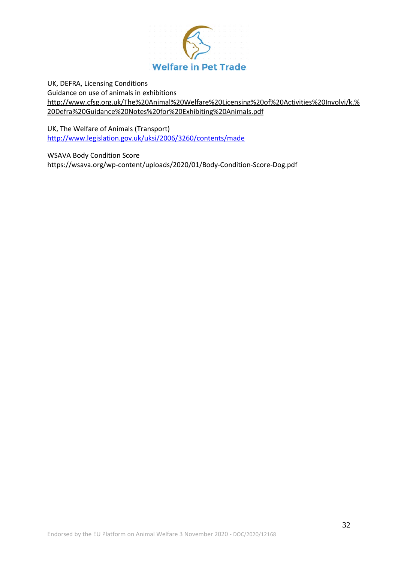

UK, DEFRA, Licensing Conditions Guidance on use of animals in exhibition[s](http://www.cfsg.org.uk/The%20Animal%20Welfare%20Licensing%20of%20Activities%20Involvi/k.%20Defra%20Guidance%20Notes%20for%20Exhibiting%20Animals.pdf) [http://www.cfsg.org.uk/The%20Animal%20Welfare%20Licensing%20of%20Activities%20Involvi/k.%](http://www.cfsg.org.uk/The%20Animal%20Welfare%20Licensing%20of%20Activities%20Involvi/k.%20Defra%20Guidance%20Notes%20for%20Exhibiting%20Animals.pdf) [20Defra%20Guidance%20Notes%20for%20Exhibiting%20Animals.pdf](http://www.cfsg.org.uk/The%20Animal%20Welfare%20Licensing%20of%20Activities%20Involvi/k.%20Defra%20Guidance%20Notes%20for%20Exhibiting%20Animals.pdf)

UK, The Welfare of Animals (Transport) <http://www.legislation.gov.uk/uksi/2006/3260/contents/made>

WSAVA Body Condition Score https://wsava.org/wp-content/uploads/2020/01/Body-Condition-Score-Dog.pdf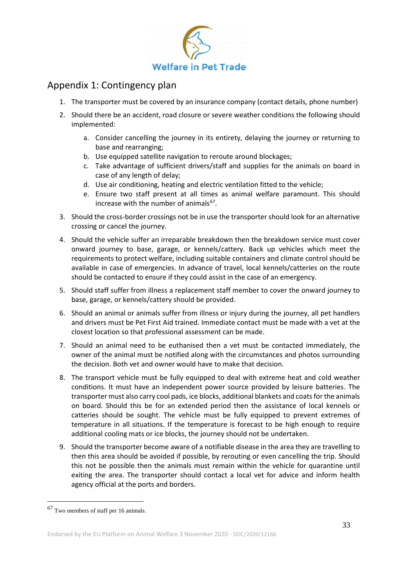

# Appendix 1: Contingency plan

- 1. The transporter must be covered by an insurance company (contact details, phone number)
- 2. Should there be an accident, road closure or severe weather conditions the following should implemented:
	- a. Consider cancelling the journey in its entirety, delaying the journey or returning to base and rearranging;
	- b. Use equipped satellite navigation to reroute around blockages;
	- c. Take advantage of sufficient drivers/staff and supplies for the animals on board in case of any length of delay;
	- d. Use air conditioning, heating and electric ventilation fitted to the vehicle;
	- e. Ensure two staff present at all times as animal welfare paramount. This should increase with the number of animals $67$ .
- 3. Should the cross-border crossings not be in use the transporter should look for an alternative crossing or cancel the journey.
- 4. Should the vehicle suffer an irreparable breakdown then the breakdown service must cover onward journey to base, garage, or kennels/cattery. Back up vehicles which meet the requirements to protect welfare, including suitable containers and climate control should be available in case of emergencies. In advance of travel, local kennels/catteries on the route should be contacted to ensure if they could assist in the case of an emergency.
- 5. Should staff suffer from illness a replacement staff member to cover the onward journey to base, garage, or kennels/cattery should be provided.
- 6. Should an animal or animals suffer from illness or injury during the journey, all pet handlers and drivers must be Pet First Aid trained. Immediate contact must be made with a vet at the closest location so that professional assessment can be made.
- 7. Should an animal need to be euthanised then a vet must be contacted immediately, the owner of the animal must be notified along with the circumstances and photos surrounding the decision. Both vet and owner would have to make that decision.
- 8. The transport vehicle must be fully equipped to deal with extreme heat and cold weather conditions. It must have an independent power source provided by leisure batteries. The transporter must also carry cool pads, ice blocks, additional blankets and coats for the animals on board. Should this be for an extended period then the assistance of local kennels or catteries should be sought. The vehicle must be fully equipped to prevent extremes of temperature in all situations. If the temperature is forecast to be high enough to require additional cooling mats or ice blocks, the journey should not be undertaken.
- 9. Should the transporter become aware of a notifiable disease in the area they are travelling to then this area should be avoided if possible, by rerouting or even cancelling the trip. Should this not be possible then the animals must remain within the vehicle for quarantine until exiting the area. The transporter should contact a local vet for advice and inform health agency official at the ports and borders.

<span id="page-32-0"></span> <sup>67</sup> Two members of staff per 16 animals.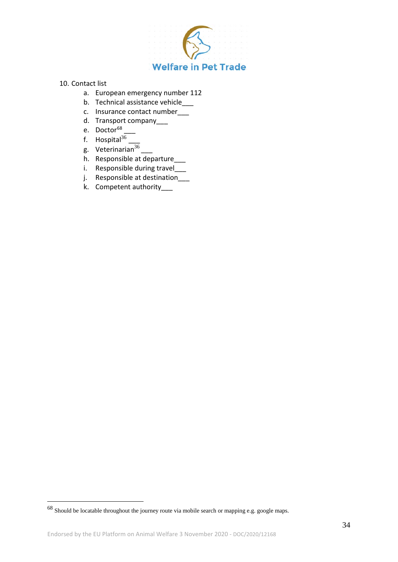

#### 10. Contact list

- a. European emergency number 112
- b. Technical assistance vehicle\_
- c. Insurance contact number\_\_\_
- d. Transport company
- e. Doctor<sup>68</sup>
- f. Hospital $36$
- g. Veterinarian $36$
- h. Responsible at departure\_\_\_
- i. Responsible during travel\_\_\_\_
- j. Responsible at destination
- k. Competent authority\_\_\_

<span id="page-33-0"></span> <sup>68</sup> Should be locatable throughout the journey route via mobile search or mapping e.g. google maps.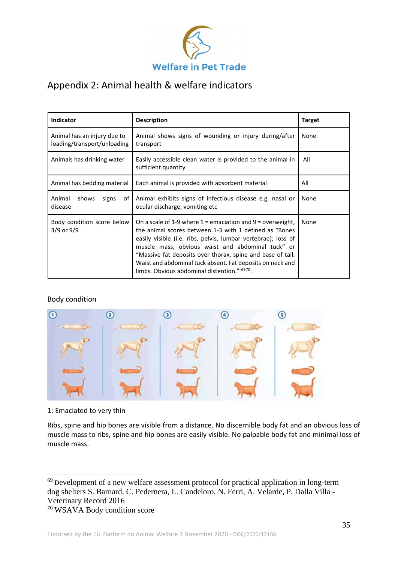

# Appendix 2: Animal health & welfare indicators

| <b>Indicator</b>                                           | <b>Description</b>                                                                                                                                                                                                                                                                                                                                                                                                                    | <b>Target</b> |
|------------------------------------------------------------|---------------------------------------------------------------------------------------------------------------------------------------------------------------------------------------------------------------------------------------------------------------------------------------------------------------------------------------------------------------------------------------------------------------------------------------|---------------|
| Animal has an injury due to<br>loading/transport/unloading | Animal shows signs of wounding or injury during/after<br>transport                                                                                                                                                                                                                                                                                                                                                                    | None          |
| Animals has drinking water                                 | Easily accessible clean water is provided to the animal in<br>sufficient quantity                                                                                                                                                                                                                                                                                                                                                     | All           |
| Animal has bedding material                                | Each animal is provided with absorbent material                                                                                                                                                                                                                                                                                                                                                                                       | All           |
| Animal<br>shows<br>of I<br>signs<br>disease                | Animal exhibits signs of infectious disease e.g. nasal or<br>ocular discharge, vomiting etc                                                                                                                                                                                                                                                                                                                                           | None          |
| Body condition score below<br>$3/9$ or $9/9$               | On a scale of 1-9 where $1$ = emaciation and $9$ = overweight,<br>the animal scores between 1-3 with 1 defined as "Bones"<br>easily visible (i.e. ribs, pelvis, lumbar vertebrae); loss of<br>muscle mass, obvious waist and abdominal tuck" or<br>"Massive fat deposits over thorax, spine and base of tail.<br>Waist and abdominal tuck absent. Fat deposits on neck and<br>limbs. Obvious abdominal distention." <sup>6970</sup> . | None          |

#### Body condition



1: Emaciated to very thin

Ribs, spine and hip bones are visible from a distance. No discernible body fat and an obvious loss of muscle mass to ribs, spine and hip bones are easily visible. No palpable body fat and minimal loss of muscle mass.

<span id="page-34-0"></span><sup>&</sup>lt;sup>69</sup> Development of a new welfare assessment protocol for practical application in long-term dog shelters S. Barnard, C. Pedernera, L. Candeloro, N. Ferri, A. Velarde, P. Dalla Villa - Veterinary Record 2016

<span id="page-34-1"></span><sup>70</sup> WSAVA Body condition score